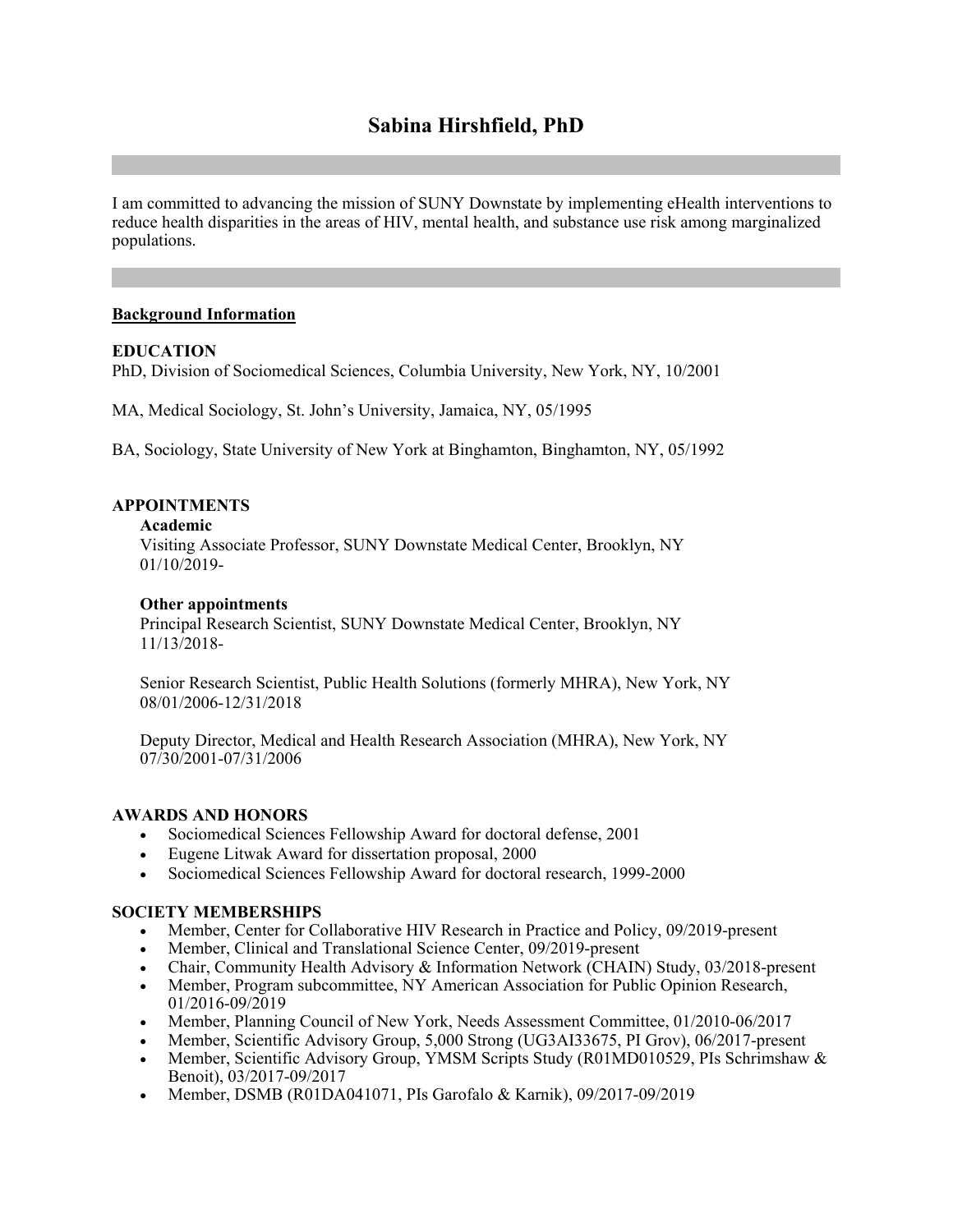# **Sabina Hirshfield, PhD**

I am committed to advancing the mission of SUNY Downstate by implementing eHealth interventions to reduce health disparities in the areas of HIV, mental health, and substance use risk among marginalized populations.

## **Background Information**

## **EDUCATION**

PhD, Division of Sociomedical Sciences, Columbia University, New York, NY, 10/2001

MA, Medical Sociology, St. John's University, Jamaica, NY, 05/1995

BA, Sociology, State University of New York at Binghamton, Binghamton, NY, 05/1992

## **APPOINTMENTS**

#### **Academic**

Visiting Associate Professor, SUNY Downstate Medical Center, Brooklyn, NY 01/10/2019-

#### **Other appointments**

Principal Research Scientist, SUNY Downstate Medical Center, Brooklyn, NY 11/13/2018-

Senior Research Scientist, Public Health Solutions (formerly MHRA), New York, NY 08/01/2006-12/31/2018

Deputy Director, Medical and Health Research Association (MHRA), New York, NY 07/30/2001-07/31/2006

## **AWARDS AND HONORS**

- Sociomedical Sciences Fellowship Award for doctoral defense, 2001
- Eugene Litwak Award for dissertation proposal, 2000
- Sociomedical Sciences Fellowship Award for doctoral research, 1999-2000

#### **SOCIETY MEMBERSHIPS**

- Member, Center for Collaborative HIV Research in Practice and Policy, 09/2019-present
- Member, Clinical and Translational Science Center, 09/2019-present
- Chair, Community Health Advisory & Information Network (CHAIN) Study, 03/2018-present
- Member, Program subcommittee, NY American Association for Public Opinion Research, 01/2016-09/2019
- Member, Planning Council of New York, Needs Assessment Committee, 01/2010-06/2017
- Member, Scientific Advisory Group, 5,000 Strong (UG3AI33675, PI Grov), 06/2017-present
- Member, Scientific Advisory Group, YMSM Scripts Study (R01MD010529, PIs Schrimshaw & Benoit), 03/2017-09/2017
- Member, DSMB (R01DA041071, PIs Garofalo & Karnik), 09/2017-09/2019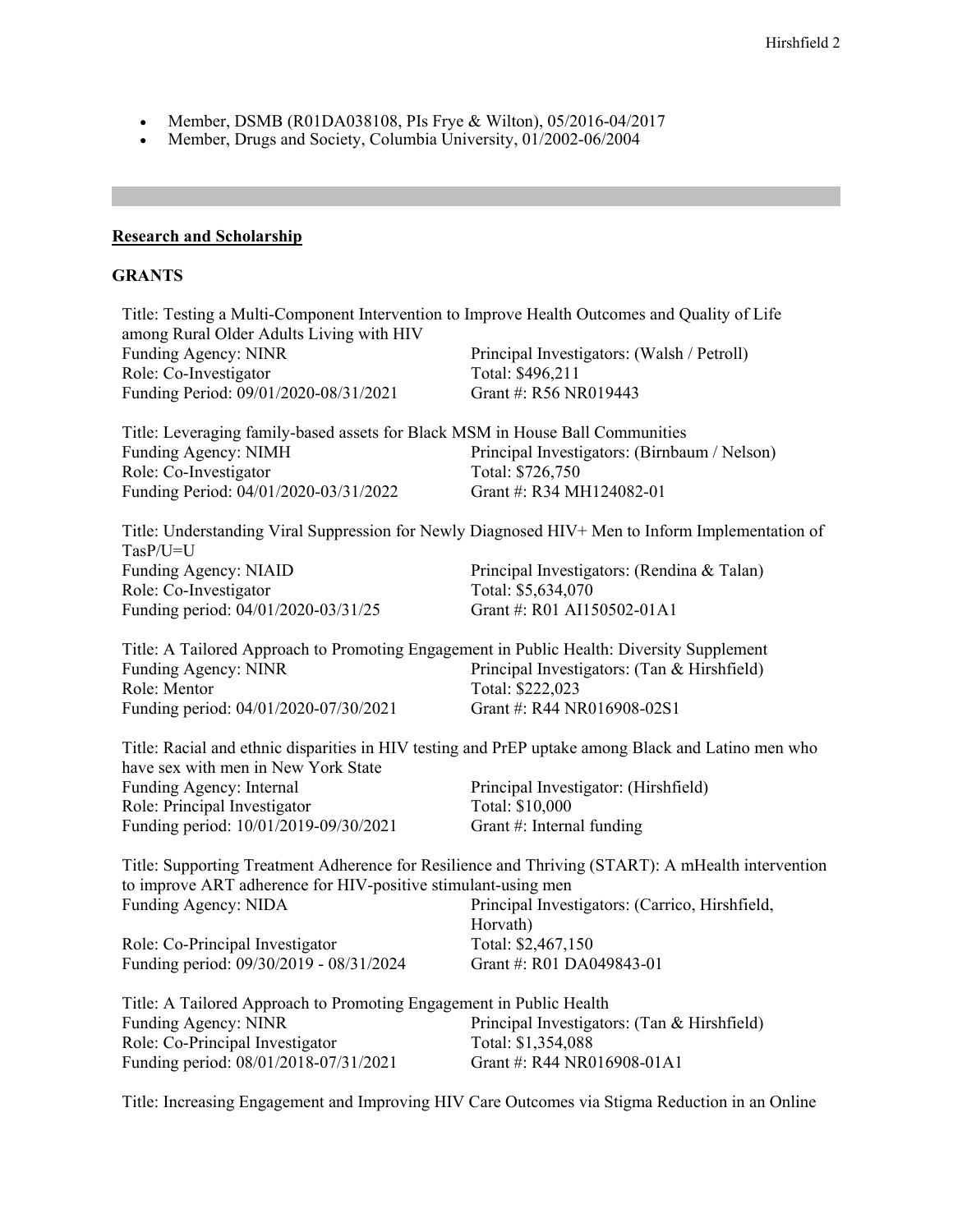- Member, DSMB (R01DA038108, PIs Frye & Wilton), 05/2016-04/2017
- Member, Drugs and Society, Columbia University, 01/2002-06/2004

## **Research and Scholarship**

## **GRANTS**

| Title: Testing a Multi-Component Intervention to Improve Health Outcomes and Quality of Life<br>among Rural Older Adults Living with HIV                           |                                                                                                    |
|--------------------------------------------------------------------------------------------------------------------------------------------------------------------|----------------------------------------------------------------------------------------------------|
| Funding Agency: NINR                                                                                                                                               | Principal Investigators: (Walsh / Petroll)                                                         |
| Role: Co-Investigator                                                                                                                                              | Total: \$496,211                                                                                   |
| Funding Period: 09/01/2020-08/31/2021                                                                                                                              | Grant #: R56 NR019443                                                                              |
| Title: Leveraging family-based assets for Black MSM in House Ball Communities                                                                                      |                                                                                                    |
| Funding Agency: NIMH                                                                                                                                               | Principal Investigators: (Birnbaum / Nelson)                                                       |
| Role: Co-Investigator                                                                                                                                              | Total: \$726,750                                                                                   |
| Funding Period: 04/01/2020-03/31/2022                                                                                                                              | Grant #: R34 MH124082-01                                                                           |
| $Task/U=U$                                                                                                                                                         | Title: Understanding Viral Suppression for Newly Diagnosed HIV+ Men to Inform Implementation of    |
| Funding Agency: NIAID                                                                                                                                              | Principal Investigators: (Rendina & Talan)                                                         |
| Role: Co-Investigator                                                                                                                                              | Total: \$5,634,070                                                                                 |
| Funding period: 04/01/2020-03/31/25                                                                                                                                | Grant #: R01 AI150502-01A1                                                                         |
| Title: A Tailored Approach to Promoting Engagement in Public Health: Diversity Supplement                                                                          |                                                                                                    |
| Funding Agency: NINR                                                                                                                                               | Principal Investigators: (Tan & Hirshfield)                                                        |
| Role: Mentor                                                                                                                                                       | Total: \$222,023                                                                                   |
| Funding period: 04/01/2020-07/30/2021                                                                                                                              | Grant #: R44 NR016908-02S1                                                                         |
| have sex with men in New York State                                                                                                                                | Title: Racial and ethnic disparities in HIV testing and PrEP uptake among Black and Latino men who |
| Funding Agency: Internal                                                                                                                                           | Principal Investigator: (Hirshfield)                                                               |
| Role: Principal Investigator                                                                                                                                       | Total: \$10,000                                                                                    |
| Funding period: 10/01/2019-09/30/2021                                                                                                                              | Grant #: Internal funding                                                                          |
| Title: Supporting Treatment Adherence for Resilience and Thriving (START): A mHealth intervention<br>to improve ART adherence for HIV-positive stimulant-using men |                                                                                                    |
| Funding Agency: NIDA                                                                                                                                               | Principal Investigators: (Carrico, Hirshfield,<br>Horvath)                                         |
| Role: Co-Principal Investigator                                                                                                                                    | Total: \$2,467,150                                                                                 |
| Funding period: 09/30/2019 - 08/31/2024                                                                                                                            | Grant #: R01 DA049843-01                                                                           |
| Title: A Tailored Approach to Promoting Engagement in Public Health                                                                                                |                                                                                                    |
| Funding Agency: NINR                                                                                                                                               | Principal Investigators: (Tan & Hirshfield)                                                        |
| Role: Co-Principal Investigator                                                                                                                                    | Total: \$1,354,088                                                                                 |
| Funding period: 08/01/2018-07/31/2021                                                                                                                              | Grant #: R44 NR016908-01A1                                                                         |
|                                                                                                                                                                    |                                                                                                    |

Title: Increasing Engagement and Improving HIV Care Outcomes via Stigma Reduction in an Online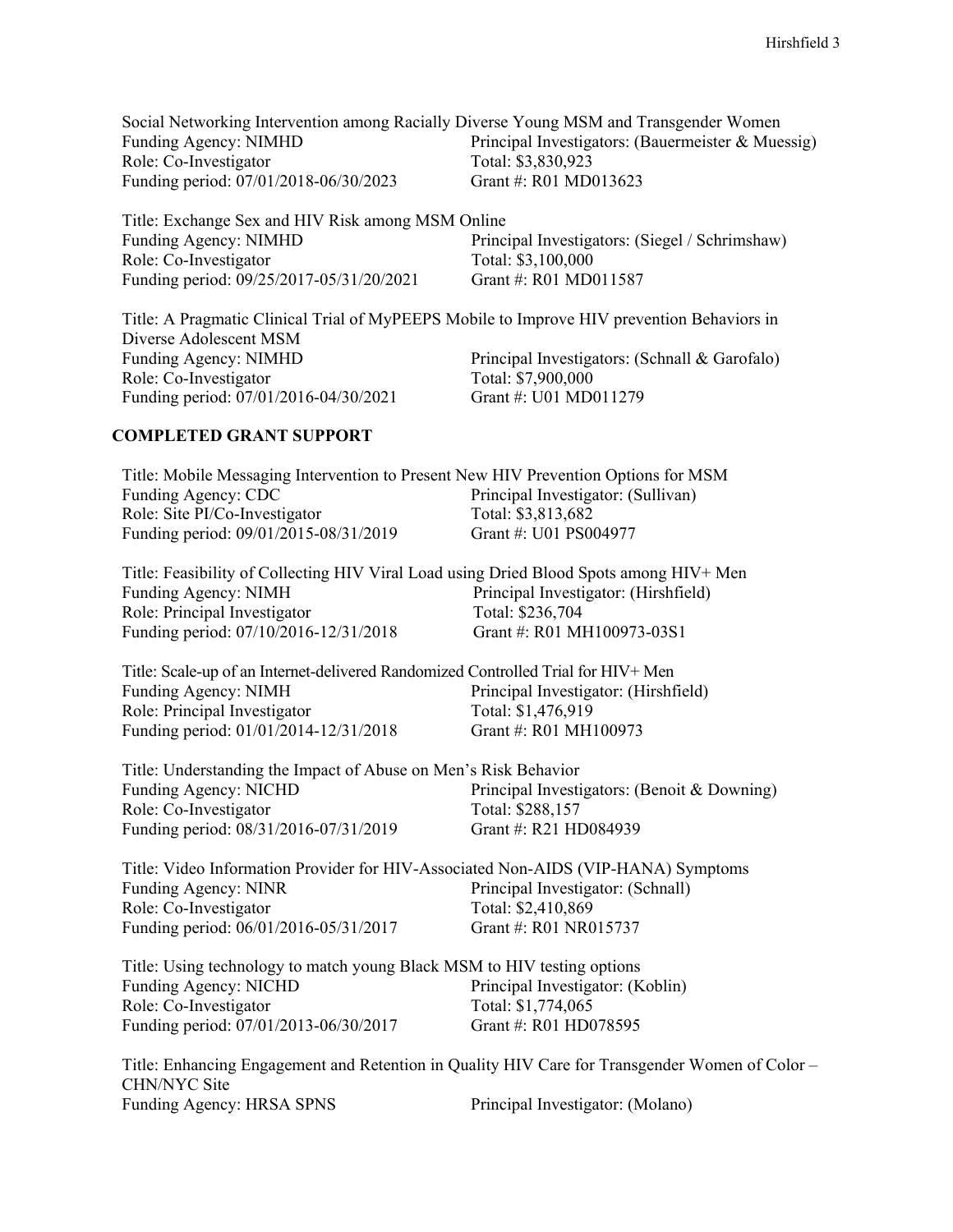| Social Networking Intervention among Racially Diverse Young MSM and Transgender Women |                                                   |
|---------------------------------------------------------------------------------------|---------------------------------------------------|
| Funding Agency: NIMHD                                                                 | Principal Investigators: (Bauermeister & Muessig) |
| Role: Co-Investigator                                                                 | Total: \$3,830,923                                |
| Funding period: 07/01/2018-06/30/2023                                                 | Grant #: R01 MD013623                             |

Title: Exchange Sex and HIV Risk among MSM Online Principal Investigators: (Siegel / Schrimshaw) Role: Co-Investigator Total: \$3,100,000<br>Funding period: 09/25/2017-05/31/20/2021 Grant #: R01 MD011587 Funding period: 09/25/2017-05/31/20/2021

Title: A Pragmatic Clinical Trial of MyPEEPS Mobile to Improve HIV prevention Behaviors in Diverse Adolescent MSM Funding Agency: NIMHD<br>
Role: Co-Investigator<br>
Role: Co-Investigator<br>
Role: Co-Investigator<br>
Principal Investigators: (Schnall & Garofalo)<br>
Total: \$7,900,000 Role: Co-Investigator<br>
Funding period: 07/01/2016-04/30/2021<br>
Grant #: U01 MD011279 Funding period: 07/01/2016-04/30/2021

### **COMPLETED GRANT SUPPORT**

| Title: Mobile Messaging Intervention to Present New HIV Prevention Options for MSM     |                                                                                                |
|----------------------------------------------------------------------------------------|------------------------------------------------------------------------------------------------|
| Funding Agency: CDC                                                                    | Principal Investigator: (Sullivan)                                                             |
| Role: Site PI/Co-Investigator                                                          | Total: \$3,813,682                                                                             |
| Funding period: 09/01/2015-08/31/2019                                                  | Grant #: U01 PS004977                                                                          |
| Title: Feasibility of Collecting HIV Viral Load using Dried Blood Spots among HIV+ Men |                                                                                                |
| Funding Agency: NIMH                                                                   | Principal Investigator: (Hirshfield)                                                           |
| Role: Principal Investigator                                                           | Total: \$236,704                                                                               |
| Funding period: 07/10/2016-12/31/2018                                                  | Grant #: R01 MH100973-03S1                                                                     |
| Title: Scale-up of an Internet-delivered Randomized Controlled Trial for HIV+ Men      |                                                                                                |
| Funding Agency: NIMH                                                                   | Principal Investigator: (Hirshfield)                                                           |
| Role: Principal Investigator                                                           | Total: \$1,476,919                                                                             |
| Funding period: 01/01/2014-12/31/2018                                                  | Grant #: R01 MH100973                                                                          |
| Title: Understanding the Impact of Abuse on Men's Risk Behavior                        |                                                                                                |
| Funding Agency: NICHD                                                                  | Principal Investigators: (Benoit & Downing)                                                    |
| Role: Co-Investigator                                                                  | Total: \$288,157                                                                               |
| Funding period: 08/31/2016-07/31/2019                                                  | Grant #: R21 HD084939                                                                          |
| Title: Video Information Provider for HIV-Associated Non-AIDS (VIP-HANA) Symptoms      |                                                                                                |
| Funding Agency: NINR                                                                   | Principal Investigator: (Schnall)                                                              |
| Role: Co-Investigator                                                                  | Total: \$2,410,869                                                                             |
| Funding period: 06/01/2016-05/31/2017                                                  | Grant #: R01 NR015737                                                                          |
| Title: Using technology to match young Black MSM to HIV testing options                |                                                                                                |
| <b>Funding Agency: NICHD</b>                                                           | Principal Investigator: (Koblin)                                                               |
| Role: Co-Investigator                                                                  | Total: \$1,774,065                                                                             |
| Funding period: 07/01/2013-06/30/2017                                                  | Grant #: R01 HD078595                                                                          |
|                                                                                        | Title: Enhancing Engagement and Retention in Quality HIV Care for Transgender Women of Color - |
| CHN/NYC Site                                                                           |                                                                                                |

Funding Agency: HRSA SPNS Principal Investigator: (Molano)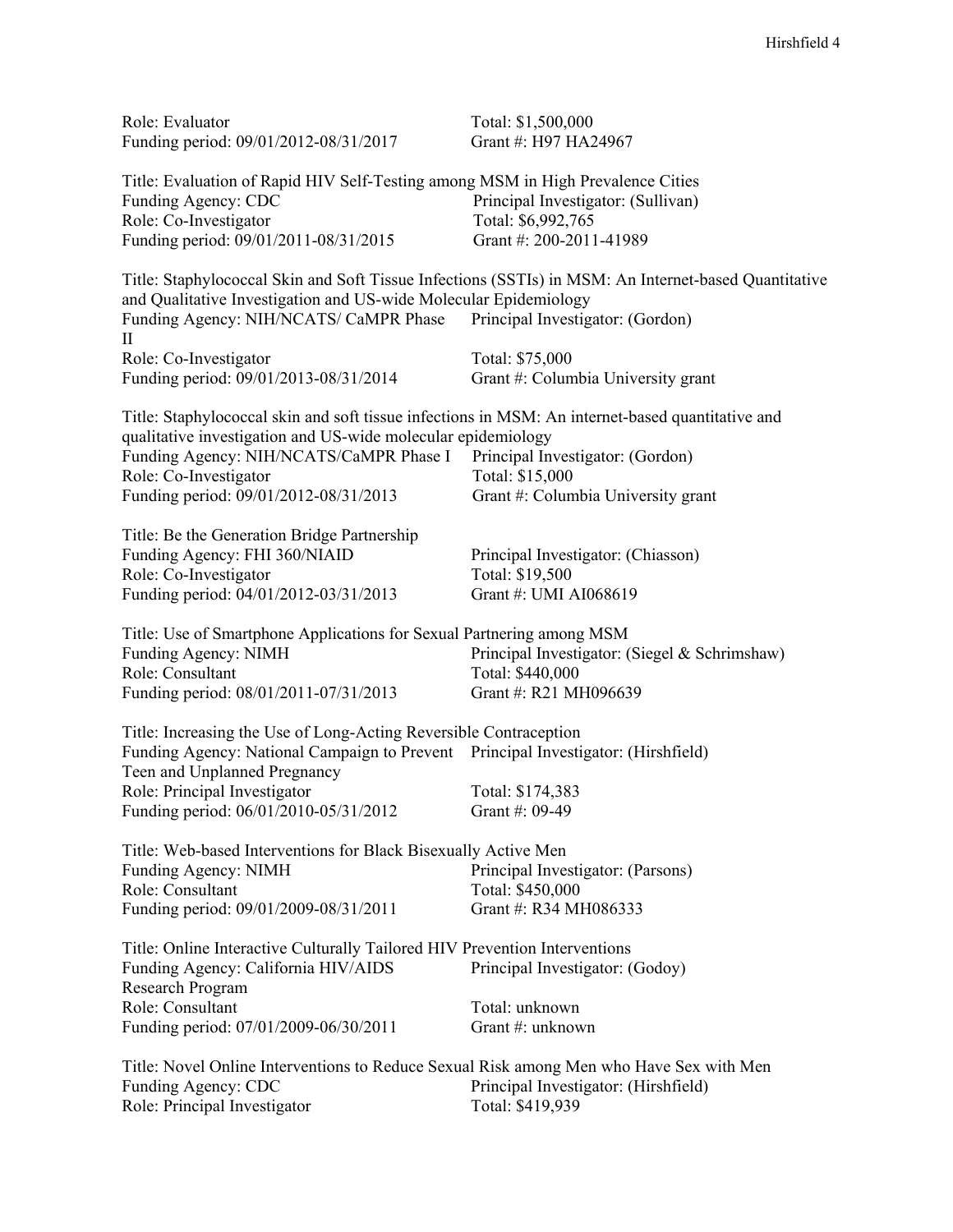| Role: Evaluator<br>Funding period: 09/01/2012-08/31/2017                                                                                                                                                                                                                      | Total: \$1,500,000<br>Grant #: H97 HA24967                                                                                               |
|-------------------------------------------------------------------------------------------------------------------------------------------------------------------------------------------------------------------------------------------------------------------------------|------------------------------------------------------------------------------------------------------------------------------------------|
| Title: Evaluation of Rapid HIV Self-Testing among MSM in High Prevalence Cities<br>Funding Agency: CDC<br>Role: Co-Investigator<br>Funding period: 09/01/2011-08/31/2015                                                                                                      | Principal Investigator: (Sullivan)<br>Total: \$6,992,765<br>Grant #: 200-2011-41989                                                      |
| and Qualitative Investigation and US-wide Molecular Epidemiology<br>Funding Agency: NIH/NCATS/ CaMPR Phase<br>$_{\rm II}$                                                                                                                                                     | Title: Staphylococcal Skin and Soft Tissue Infections (SSTIs) in MSM: An Internet-based Quantitative<br>Principal Investigator: (Gordon) |
| Role: Co-Investigator<br>Funding period: 09/01/2013-08/31/2014                                                                                                                                                                                                                | Total: \$75,000<br>Grant #: Columbia University grant                                                                                    |
| Title: Staphylococcal skin and soft tissue infections in MSM: An internet-based quantitative and<br>qualitative investigation and US-wide molecular epidemiology<br>Funding Agency: NIH/NCATS/CaMPR Phase I<br>Role: Co-Investigator<br>Funding period: 09/01/2012-08/31/2013 | Principal Investigator: (Gordon)<br>Total: \$15,000<br>Grant #: Columbia University grant                                                |
| Title: Be the Generation Bridge Partnership<br>Funding Agency: FHI 360/NIAID<br>Role: Co-Investigator<br>Funding period: 04/01/2012-03/31/2013                                                                                                                                | Principal Investigator: (Chiasson)<br>Total: \$19,500<br>Grant #: UMI AI068619                                                           |
| Title: Use of Smartphone Applications for Sexual Partnering among MSM<br><b>Funding Agency: NIMH</b><br>Role: Consultant<br>Funding period: 08/01/2011-07/31/2013                                                                                                             | Principal Investigator: (Siegel & Schrimshaw)<br>Total: \$440,000<br>Grant #: R21 MH096639                                               |
| Title: Increasing the Use of Long-Acting Reversible Contraception<br>Funding Agency: National Campaign to Prevent Principal Investigator: (Hirshfield)<br>Teen and Unplanned Pregnancy<br>Role: Principal Investigator<br>Funding period: 06/01/2010-05/31/2012               | Total: \$174,383<br>Grant #: 09-49                                                                                                       |
| Title: Web-based Interventions for Black Bisexually Active Men<br><b>Funding Agency: NIMH</b><br>Role: Consultant<br>Funding period: 09/01/2009-08/31/2011                                                                                                                    | Principal Investigator: (Parsons)<br>Total: \$450,000<br>Grant #: R34 MH086333                                                           |
| Title: Online Interactive Culturally Tailored HIV Prevention Interventions<br>Funding Agency: California HIV/AIDS<br>Research Program                                                                                                                                         | Principal Investigator: (Godoy)                                                                                                          |
| Role: Consultant<br>Funding period: 07/01/2009-06/30/2011                                                                                                                                                                                                                     | Total: unknown<br>Grant #: unknown                                                                                                       |
| Title: Novel Online Interventions to Reduce Sexual Risk among Men who Have Sex with Men<br>Funding Agency: CDC<br>Role: Principal Investigator                                                                                                                                | Principal Investigator: (Hirshfield)<br>Total: \$419,939                                                                                 |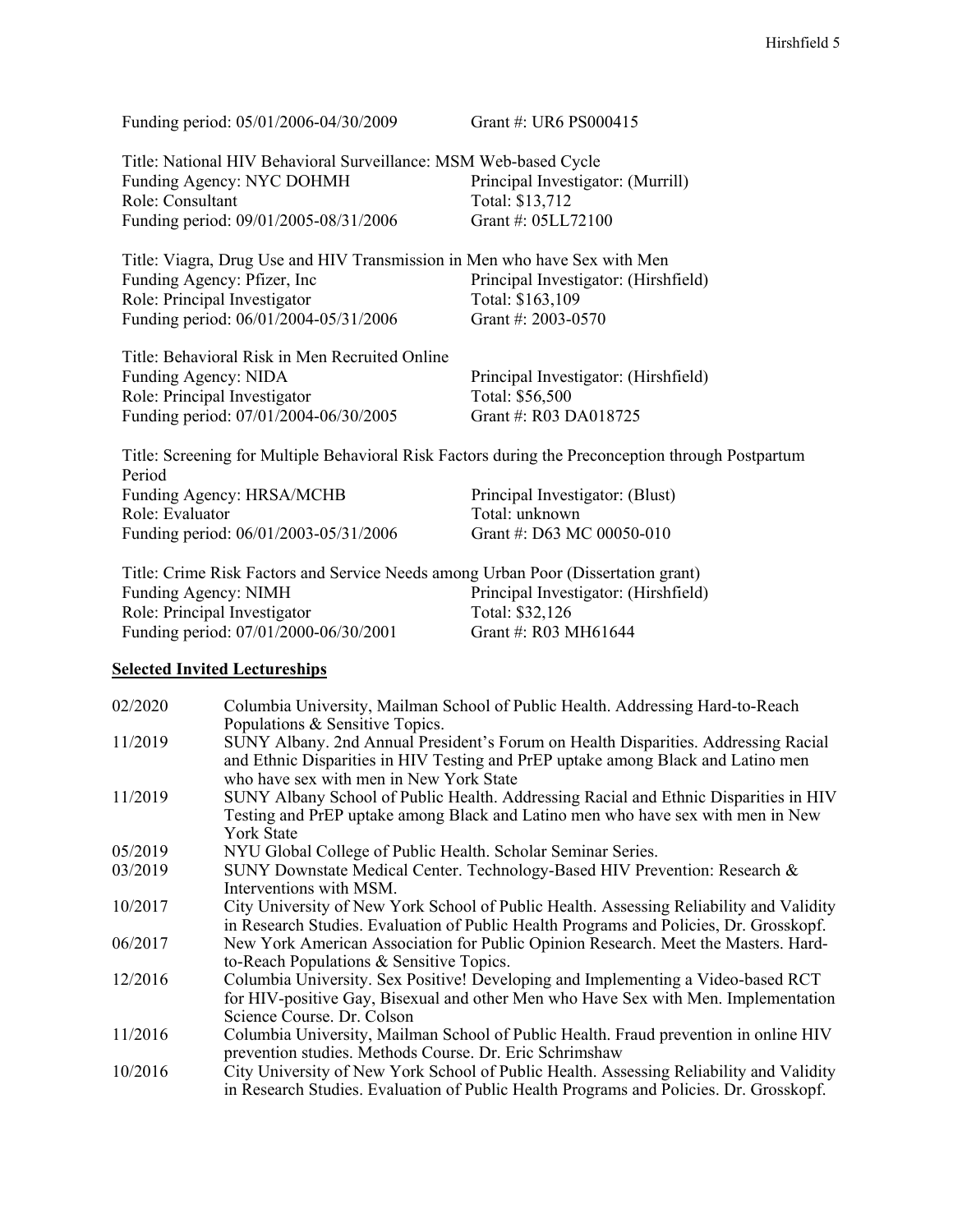| Funding period: 05/01/2006-04/30/2009                                                                       | Grant #: UR6 PS000415                |  |
|-------------------------------------------------------------------------------------------------------------|--------------------------------------|--|
| Title: National HIV Behavioral Surveillance: MSM Web-based Cycle                                            |                                      |  |
| Funding Agency: NYC DOHMH                                                                                   | Principal Investigator: (Murrill)    |  |
| Role: Consultant                                                                                            | Total: \$13,712                      |  |
| Funding period: 09/01/2005-08/31/2006                                                                       | Grant #: 05LL72100                   |  |
| Title: Viagra, Drug Use and HIV Transmission in Men who have Sex with Men                                   |                                      |  |
| Funding Agency: Pfizer, Inc.                                                                                | Principal Investigator: (Hirshfield) |  |
| Role: Principal Investigator                                                                                | Total: \$163,109                     |  |
| Funding period: 06/01/2004-05/31/2006                                                                       | Grant #: 2003-0570                   |  |
| Title: Behavioral Risk in Men Recruited Online                                                              |                                      |  |
| Funding Agency: NIDA                                                                                        | Principal Investigator: (Hirshfield) |  |
| Role: Principal Investigator                                                                                | Total: \$56,500                      |  |
| Funding period: 07/01/2004-06/30/2005                                                                       | Grant #: R03 DA018725                |  |
| Title: Screening for Multiple Behavioral Risk Factors during the Preconception through Postpartum<br>Period |                                      |  |
| Funding Agency: HRSA/MCHB                                                                                   | Principal Investigator: (Blust)      |  |
| Role: Evaluator                                                                                             | Total: unknown                       |  |
| Funding period: 06/01/2003-05/31/2006                                                                       | Grant #: D63 MC 00050-010            |  |

| Title: Crime Risk Factors and Service Needs among Urban Poor (Dissertation grant) |                                      |
|-----------------------------------------------------------------------------------|--------------------------------------|
| Funding Agency: NIMH                                                              | Principal Investigator: (Hirshfield) |
| Role: Principal Investigator                                                      | Total: \$32,126                      |
| Funding period: 07/01/2000-06/30/2001                                             | Grant #: R03 MH61644                 |

## **Selected Invited Lectureships**

| 02/2020 | Columbia University, Mailman School of Public Health. Addressing Hard-to-Reach                                                                                                                                                   |
|---------|----------------------------------------------------------------------------------------------------------------------------------------------------------------------------------------------------------------------------------|
| 11/2019 | Populations & Sensitive Topics.<br>SUNY Albany. 2nd Annual President's Forum on Health Disparities. Addressing Racial<br>and Ethnic Disparities in HIV Testing and PrEP uptake among Black and Latino men                        |
| 11/2019 | who have sex with men in New York State<br>SUNY Albany School of Public Health. Addressing Racial and Ethnic Disparities in HIV<br>Testing and PrEP uptake among Black and Latino men who have sex with men in New<br>York State |
| 05/2019 | NYU Global College of Public Health. Scholar Seminar Series.                                                                                                                                                                     |
| 03/2019 | SUNY Downstate Medical Center. Technology-Based HIV Prevention: Research &<br>Interventions with MSM.                                                                                                                            |
| 10/2017 | City University of New York School of Public Health. Assessing Reliability and Validity<br>in Research Studies. Evaluation of Public Health Programs and Policies, Dr. Grosskopf.                                                |
| 06/2017 | New York American Association for Public Opinion Research. Meet the Masters. Hard-<br>to-Reach Populations & Sensitive Topics.                                                                                                   |
| 12/2016 | Columbia University. Sex Positive! Developing and Implementing a Video-based RCT<br>for HIV-positive Gay, Bisexual and other Men who Have Sex with Men. Implementation<br>Science Course, Dr. Colson                             |
| 11/2016 | Columbia University, Mailman School of Public Health. Fraud prevention in online HIV<br>prevention studies. Methods Course. Dr. Eric Schrimshaw                                                                                  |
| 10/2016 | City University of New York School of Public Health. Assessing Reliability and Validity<br>in Research Studies. Evaluation of Public Health Programs and Policies. Dr. Grosskopf.                                                |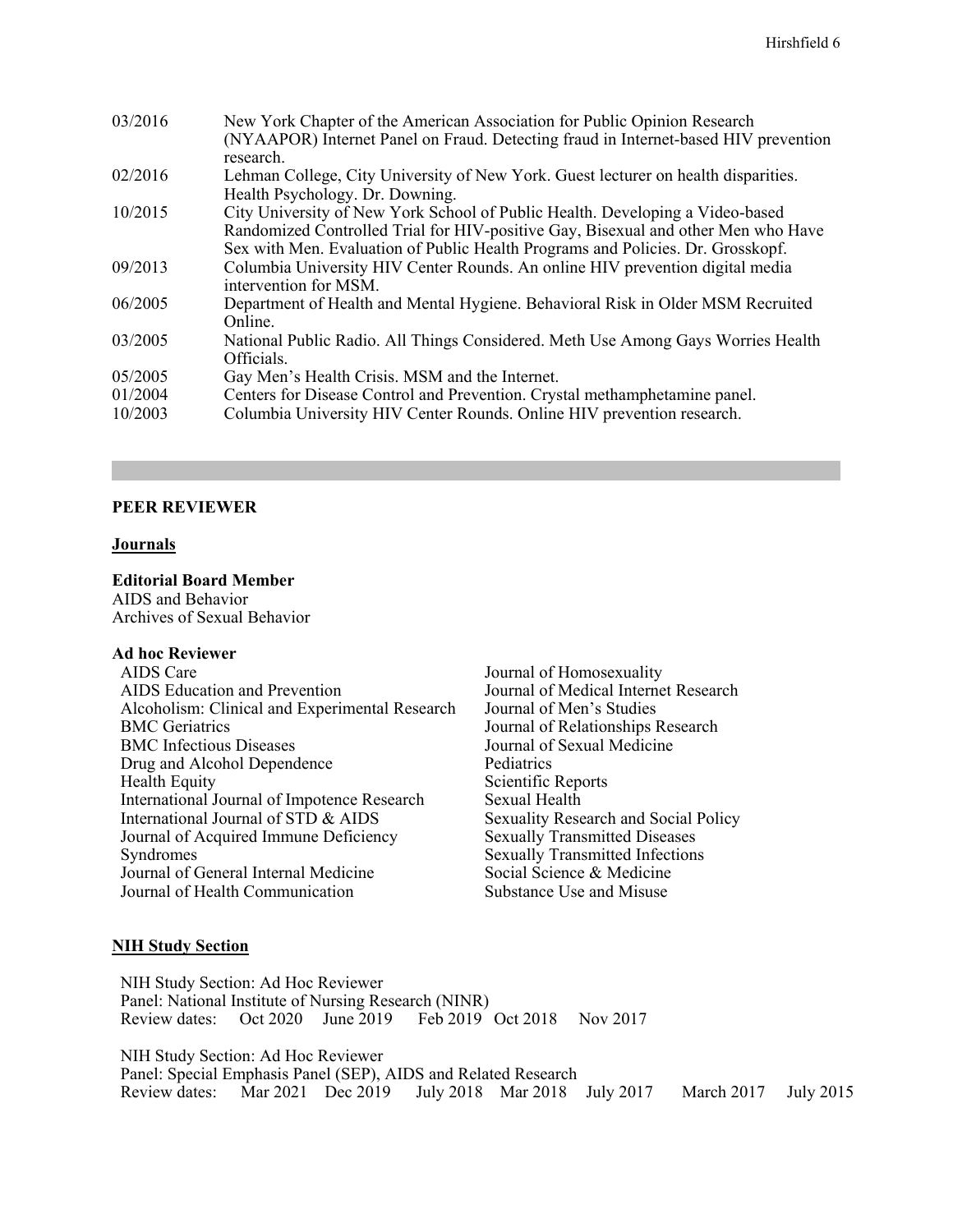| 03/2016 | New York Chapter of the American Association for Public Opinion Research<br>(NYAAPOR) Internet Panel on Fraud. Detecting fraud in Internet-based HIV prevention<br>research.                                                                          |
|---------|-------------------------------------------------------------------------------------------------------------------------------------------------------------------------------------------------------------------------------------------------------|
| 02/2016 | Lehman College, City University of New York. Guest lecturer on health disparities.<br>Health Psychology. Dr. Downing.                                                                                                                                 |
| 10/2015 | City University of New York School of Public Health. Developing a Video-based<br>Randomized Controlled Trial for HIV-positive Gay, Bisexual and other Men who Have<br>Sex with Men. Evaluation of Public Health Programs and Policies. Dr. Grosskopf. |
| 09/2013 | Columbia University HIV Center Rounds. An online HIV prevention digital media<br>intervention for MSM.                                                                                                                                                |
| 06/2005 | Department of Health and Mental Hygiene. Behavioral Risk in Older MSM Recruited<br>Online.                                                                                                                                                            |
| 03/2005 | National Public Radio. All Things Considered. Meth Use Among Gays Worries Health<br>Officials.                                                                                                                                                        |
| 05/2005 | Gay Men's Health Crisis. MSM and the Internet.                                                                                                                                                                                                        |
| 01/2004 | Centers for Disease Control and Prevention. Crystal methamphetamine panel.                                                                                                                                                                            |
| 10/2003 | Columbia University HIV Center Rounds. Online HIV prevention research.                                                                                                                                                                                |

### **PEER REVIEWER**

#### **Journals**

#### **Editorial Board Member**

AIDS and Behavior Archives of Sexual Behavior

#### **Ad hoc Reviewer**

Journal of Homosexuality Journal of Medical Internet Research Journal of Men's Studies Journal of Relationships Research Journal of Sexual Medicine Pediatrics Scientific Reports Sexual Health Sexuality Research and Social Policy Sexually Transmitted Diseases Sexually Transmitted Infections Social Science & Medicine Substance Use and Misuse

#### **NIH Study Section**

NIH Study Section: Ad Hoc Reviewer Panel: National Institute of Nursing Research (NINR)<br>Review dates: Oct 2020 June 2019 Feb 2019 Oct 2018 Nov 2017 Review dates: Oct 2020 June 2019

NIH Study Section: Ad Hoc Reviewer Panel: Special Emphasis Panel (SEP), AIDS and Related Research<br>Review dates: Mar 2021 Dec 2019 July 2018 Mar 2018 Review dates: Mar 2021 Dec 2019 July 2018 Mar 2018 July 2017 March 2017 July 2015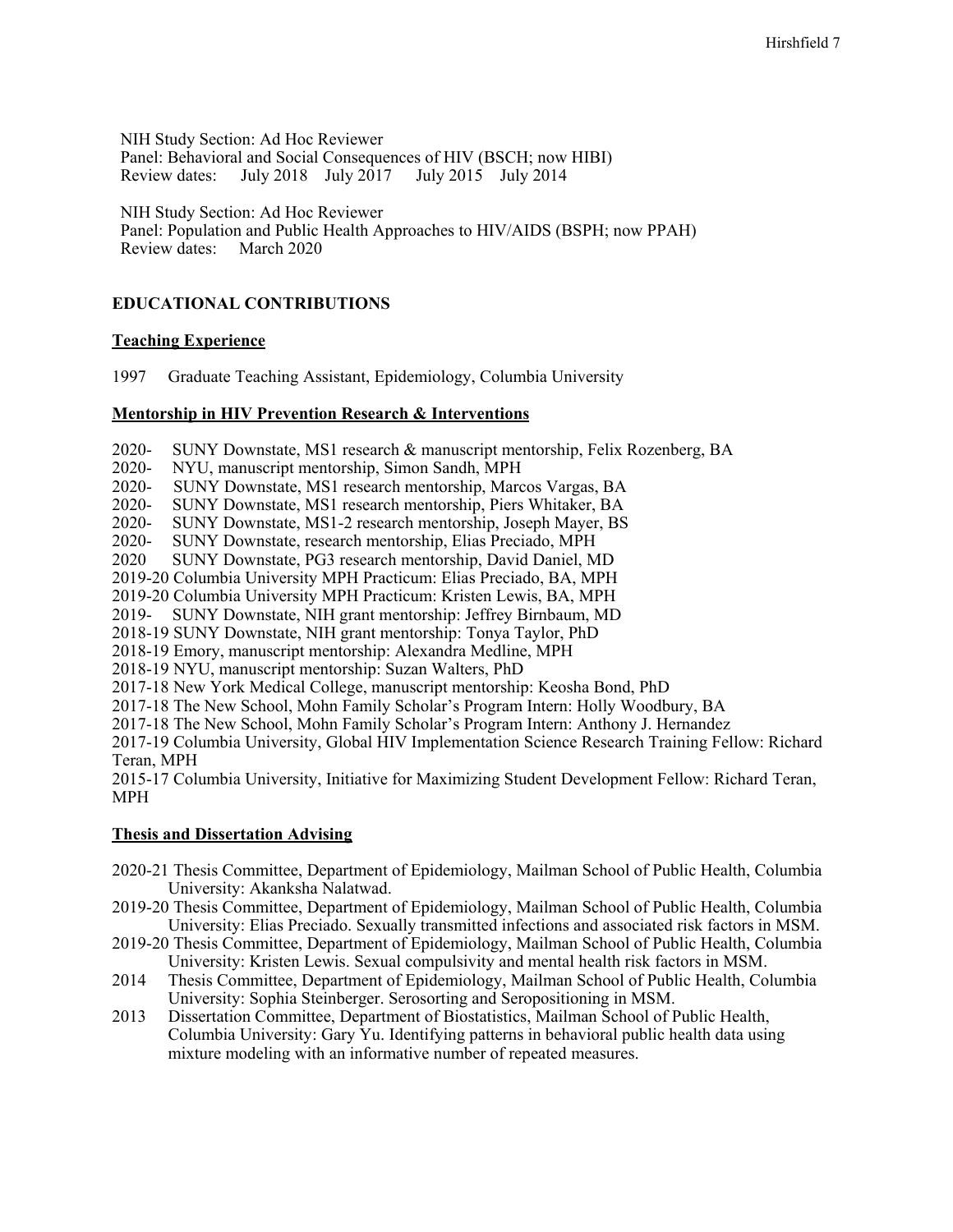NIH Study Section: Ad Hoc Reviewer Panel: Behavioral and Social Consequences of HIV (BSCH; now HIBI) Review dates: July 2018 July 2017 July 2015 July 2014

NIH Study Section: Ad Hoc Reviewer

Panel: Population and Public Health Approaches to HIV/AIDS (BSPH; now PPAH) Review dates:

## **EDUCATIONAL CONTRIBUTIONS**

#### **Teaching Experience**

1997 Graduate Teaching Assistant, Epidemiology, Columbia University

#### **Mentorship in HIV Prevention Research & Interventions**

2020- SUNY Downstate, MS1 research & manuscript mentorship, Felix Rozenberg, BA

2020- NYU, manuscript mentorship, Simon Sandh, MPH<br>2020- SUNY Downstate, MS1 research mentorship, Marc

2020- SUNY Downstate, MS1 research mentorship, Marcos Vargas, BA<br>2020- SUNY Downstate, MS1 research mentorship, Piers Whitaker, BA

2020- SUNY Downstate, MS1 research mentorship, Piers Whitaker, BA<br>2020- SUNY Downstate, MS1-2 research mentorship, Joseph Mayer, BS SUNY Downstate, MS1-2 research mentorship, Joseph Mayer, BS

2020- SUNY Downstate, research mentorship, Elias Preciado, MPH<br>2020 SUNY Downstate, PG3 research mentorship, David Daniel, M

SUNY Downstate, PG3 research mentorship, David Daniel, MD

2019-20 Columbia University MPH Practicum: Elias Preciado, BA, MPH

2019-20 Columbia University MPH Practicum: Kristen Lewis, BA, MPH

2019- SUNY Downstate, NIH grant mentorship: Jeffrey Birnbaum, MD

2018-19 SUNY Downstate, NIH grant mentorship: Tonya Taylor, PhD

2018-19 Emory, manuscript mentorship: Alexandra Medline, MPH

2018-19 NYU, manuscript mentorship: Suzan Walters, PhD

2017-18 New York Medical College, manuscript mentorship: Keosha Bond, PhD

2017-18 The New School, Mohn Family Scholar's Program Intern: Holly Woodbury, BA

2017-18 The New School, Mohn Family Scholar's Program Intern: Anthony J. Hernandez

2017-19 Columbia University, Global HIV Implementation Science Research Training Fellow: Richard Teran, MPH

2015-17 Columbia University, Initiative for Maximizing Student Development Fellow: Richard Teran, MPH

#### **Thesis and Dissertation Advising**

- 2020-21 Thesis Committee, Department of Epidemiology, Mailman School of Public Health, Columbia University: Akanksha Nalatwad.
- 2019-20 Thesis Committee, Department of Epidemiology, Mailman School of Public Health, Columbia University: Elias Preciado. Sexually transmitted infections and associated risk factors in MSM.
- 2019-20 Thesis Committee, Department of Epidemiology, Mailman School of Public Health, Columbia University: Kristen Lewis. Sexual compulsivity and mental health risk factors in MSM.
- 2014 Thesis Committee, Department of Epidemiology, Mailman School of Public Health, Columbia University: Sophia Steinberger. Serosorting and Seropositioning in MSM.
- 2013 Dissertation Committee, Department of Biostatistics, Mailman School of Public Health, Columbia University: Gary Yu. Identifying patterns in behavioral public health data using mixture modeling with an informative number of repeated measures.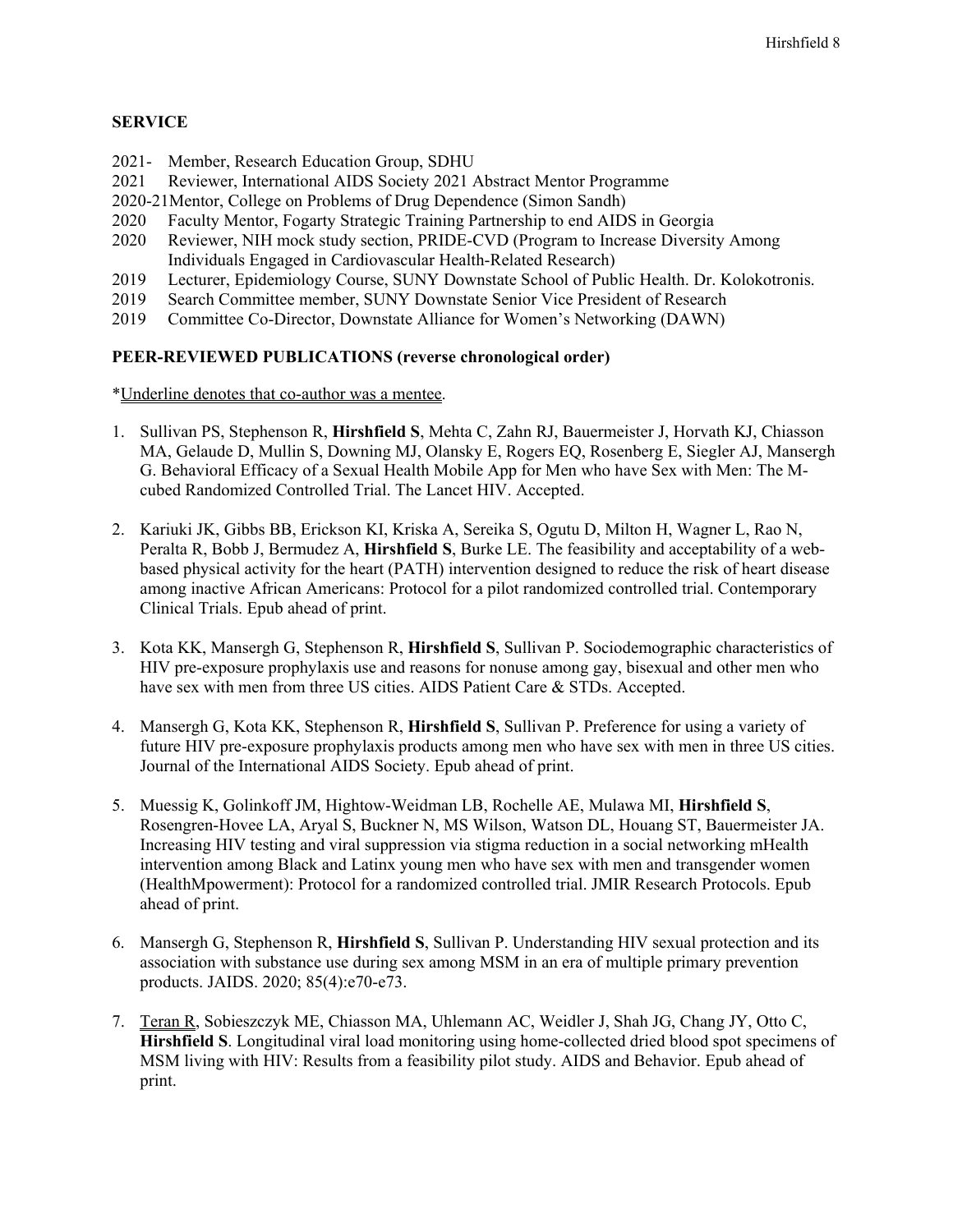## **SERVICE**

- 2021- Member, Research Education Group, SDHU
- 2021 Reviewer, International AIDS Society 2021 Abstract Mentor Programme
- 2020-21Mentor, College on Problems of Drug Dependence (Simon Sandh)
- 2020 Faculty Mentor, Fogarty Strategic Training Partnership to end AIDS in Georgia
- 2020 Reviewer, NIH mock study section, PRIDE-CVD (Program to Increase Diversity Among Individuals Engaged in Cardiovascular Health-Related Research)
- 2019 Lecturer, Epidemiology Course, SUNY Downstate School of Public Health. Dr. Kolokotronis.
- 2019 Search Committee member, SUNY Downstate Senior Vice President of Research
- 2019 Committee Co-Director, Downstate Alliance for Women's Networking (DAWN)

## **PEER-REVIEWED PUBLICATIONS (reverse chronological order)**

\*Underline denotes that co-author was a mentee.

- 1. Sullivan PS, Stephenson R, **Hirshfield S**, Mehta C, Zahn RJ, Bauermeister J, Horvath KJ, Chiasson MA, Gelaude D, Mullin S, Downing MJ, Olansky E, Rogers EQ, Rosenberg E, Siegler AJ, Mansergh G. Behavioral Efficacy of a Sexual Health Mobile App for Men who have Sex with Men: The Mcubed Randomized Controlled Trial. The Lancet HIV. Accepted.
- 2. Kariuki JK, Gibbs BB, Erickson KI, Kriska A, Sereika S, Ogutu D, Milton H, Wagner L, Rao N, Peralta R, Bobb J, Bermudez A, **Hirshfield S**, Burke LE. The feasibility and acceptability of a webbased physical activity for the heart (PATH) intervention designed to reduce the risk of heart disease among inactive African Americans: Protocol for a pilot randomized controlled trial. Contemporary Clinical Trials. Epub ahead of print.
- 3. Kota KK, Mansergh G, Stephenson R, **Hirshfield S**, Sullivan P. Sociodemographic characteristics of HIV pre-exposure prophylaxis use and reasons for nonuse among gay, bisexual and other men who have sex with men from three US cities. AIDS Patient Care & STDs. Accepted.
- 4. Mansergh G, Kota KK, Stephenson R, **Hirshfield S**, Sullivan P. Preference for using a variety of future HIV pre-exposure prophylaxis products among men who have sex with men in three US cities. Journal of the International AIDS Society. Epub ahead of print.
- 5. Muessig K, Golinkoff JM, Hightow-Weidman LB, Rochelle AE, Mulawa MI, **Hirshfield S**, Rosengren-Hovee LA, Aryal S, Buckner N, MS Wilson, Watson DL, Houang ST, Bauermeister JA. Increasing HIV testing and viral suppression via stigma reduction in a social networking mHealth intervention among Black and Latinx young men who have sex with men and transgender women (HealthMpowerment): Protocol for a randomized controlled trial. JMIR Research Protocols. Epub ahead of print.
- 6. Mansergh G, Stephenson R, **Hirshfield S**, Sullivan P. Understanding HIV sexual protection and its association with substance use during sex among MSM in an era of multiple primary prevention products. JAIDS. 2020; 85(4):e70-e73.
- 7. Teran R, Sobieszczyk ME, Chiasson MA, Uhlemann AC, Weidler J, Shah JG, Chang JY, Otto C, **Hirshfield S**. Longitudinal viral load monitoring using home-collected dried blood spot specimens of MSM living with HIV: Results from a feasibility pilot study. AIDS and Behavior. Epub ahead of print.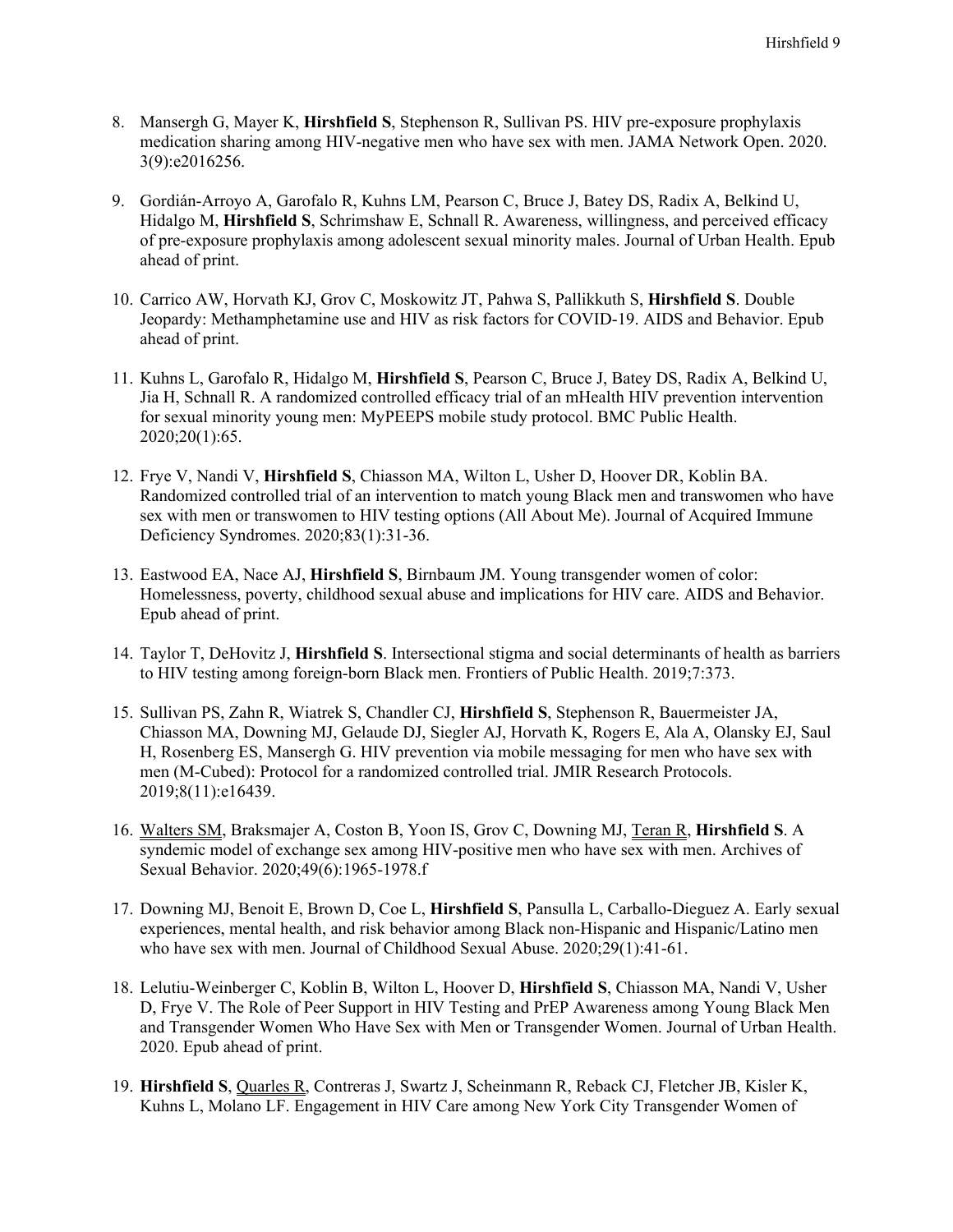- 8. Mansergh G, Mayer K, **Hirshfield S**, Stephenson R, Sullivan PS. HIV pre-exposure prophylaxis medication sharing among HIV-negative men who have sex with men. JAMA Network Open. 2020. 3(9):e2016256.
- 9. Gordián-Arroyo A, Garofalo R, Kuhns LM, Pearson C, Bruce J, Batey DS, Radix A, Belkind U, Hidalgo M, **Hirshfield S**, Schrimshaw E, Schnall R. Awareness, willingness, and perceived efficacy of pre-exposure prophylaxis among adolescent sexual minority males. Journal of Urban Health. Epub ahead of print.
- 10. Carrico AW, Horvath KJ, Grov C, Moskowitz JT, Pahwa S, Pallikkuth S, **Hirshfield S**. Double Jeopardy: Methamphetamine use and HIV as risk factors for COVID-19. AIDS and Behavior. Epub ahead of print.
- 11. Kuhns L, Garofalo R, Hidalgo M, **Hirshfield S**, Pearson C, Bruce J, Batey DS, Radix A, Belkind U, Jia H, Schnall R. A randomized controlled efficacy trial of an mHealth HIV prevention intervention for sexual minority young men: MyPEEPS mobile study protocol. BMC Public Health. 2020;20(1):65.
- 12. Frye V, Nandi V, **Hirshfield S**, Chiasson MA, Wilton L, Usher D, Hoover DR, Koblin BA. Randomized controlled trial of an intervention to match young Black men and transwomen who have sex with men or transwomen to HIV testing options (All About Me). Journal of Acquired Immune Deficiency Syndromes. 2020;83(1):31-36.
- 13. Eastwood EA, Nace AJ, **Hirshfield S**, Birnbaum JM. Young transgender women of color: Homelessness, poverty, childhood sexual abuse and implications for HIV care. AIDS and Behavior. Epub ahead of print.
- 14. Taylor T, DeHovitz J, **Hirshfield S**. Intersectional stigma and social determinants of health as barriers to HIV testing among foreign-born Black men. Frontiers of Public Health. 2019;7:373.
- 15. Sullivan PS, Zahn R, Wiatrek S, Chandler CJ, **Hirshfield S**, Stephenson R, Bauermeister JA, Chiasson MA, Downing MJ, Gelaude DJ, Siegler AJ, Horvath K, Rogers E, Ala A, Olansky EJ, Saul H, Rosenberg ES, Mansergh G. HIV prevention via mobile messaging for men who have sex with men (M-Cubed): Protocol for a randomized controlled trial. JMIR Research Protocols. 2019;8(11):e16439.
- 16. Walters SM, Braksmajer A, Coston B, Yoon IS, Grov C, Downing MJ, Teran R, **Hirshfield S**. A syndemic model of exchange sex among HIV-positive men who have sex with men. Archives of Sexual Behavior. 2020;49(6):1965-1978.f
- 17. Downing MJ, Benoit E, Brown D, Coe L, **Hirshfield S**, Pansulla L, Carballo-Dieguez A. Early sexual experiences, mental health, and risk behavior among Black non-Hispanic and Hispanic/Latino men who have sex with men. Journal of Childhood Sexual Abuse. 2020;29(1):41-61.
- 18. Lelutiu-Weinberger C, Koblin B, Wilton L, Hoover D, **Hirshfield S**, Chiasson MA, Nandi V, Usher D, Frye V. The Role of Peer Support in HIV Testing and PrEP Awareness among Young Black Men and Transgender Women Who Have Sex with Men or Transgender Women. Journal of Urban Health. 2020. Epub ahead of print.
- 19. **Hirshfield S**, Quarles R, Contreras J, Swartz J, Scheinmann R, Reback CJ, Fletcher JB, Kisler K, Kuhns L, Molano LF. Engagement in HIV Care among New York City Transgender Women of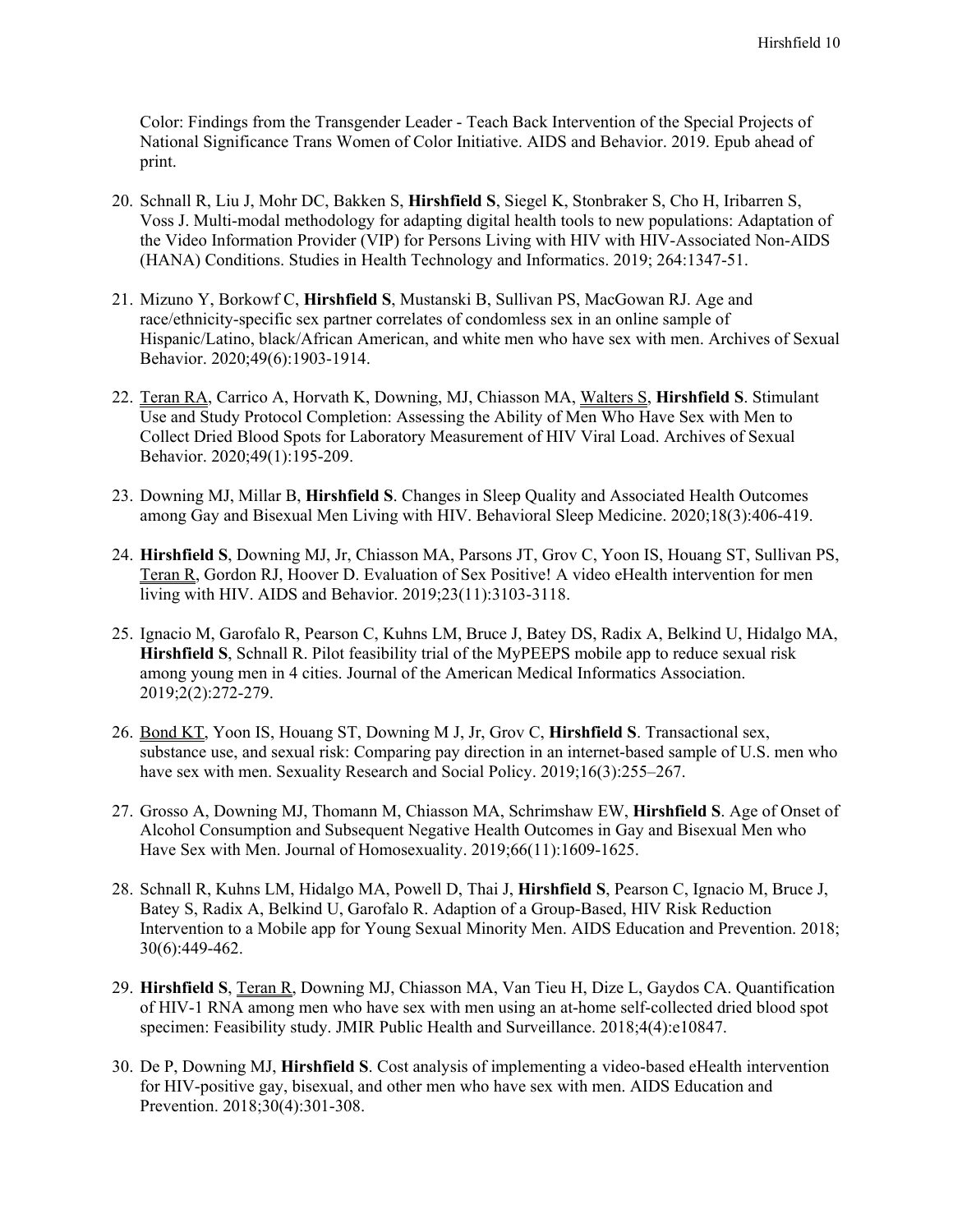Color: Findings from the Transgender Leader - Teach Back Intervention of the Special Projects of National Significance Trans Women of Color Initiative. AIDS and Behavior. 2019. Epub ahead of print.

- 20. Schnall R, Liu J, Mohr DC, Bakken S, **Hirshfield S**, Siegel K, Stonbraker S, Cho H, Iribarren S, Voss J. Multi-modal methodology for adapting digital health tools to new populations: Adaptation of the Video Information Provider (VIP) for Persons Living with HIV with HIV-Associated Non-AIDS (HANA) Conditions. Studies in Health Technology and Informatics. 2019; 264:1347-51.
- 21. Mizuno Y, Borkowf C, **Hirshfield S**, Mustanski B, Sullivan PS, MacGowan RJ. Age and race/ethnicity-specific sex partner correlates of condomless sex in an online sample of Hispanic/Latino, black/African American, and white men who have sex with men. Archives of Sexual Behavior. 2020;49(6):1903-1914.
- 22. Teran RA, Carrico A, Horvath K, Downing, MJ, Chiasson MA, Walters S, **Hirshfield S**. Stimulant Use and Study Protocol Completion: Assessing the Ability of Men Who Have Sex with Men to Collect Dried Blood Spots for Laboratory Measurement of HIV Viral Load. Archives of Sexual Behavior. 2020;49(1):195-209.
- 23. Downing MJ, Millar B, **Hirshfield S**. Changes in Sleep Quality and Associated Health Outcomes among Gay and Bisexual Men Living with HIV. Behavioral Sleep Medicine. 2020;18(3):406-419.
- 24. **Hirshfield S**, Downing MJ, Jr, Chiasson MA, Parsons JT, Grov C, Yoon IS, Houang ST, Sullivan PS, Teran R, Gordon RJ, Hoover D. Evaluation of Sex Positive! A video eHealth intervention for men living with HIV. AIDS and Behavior. 2019;23(11):3103-3118.
- 25. Ignacio M, Garofalo R, Pearson C, Kuhns LM, Bruce J, Batey DS, Radix A, Belkind U, Hidalgo MA, **Hirshfield S**, Schnall R. Pilot feasibility trial of the MyPEEPS mobile app to reduce sexual risk among young men in 4 cities. Journal of the American Medical Informatics Association. 2019;2(2):272-279.
- 26. Bond KT, Yoon IS, Houang ST, Downing M J, Jr, Grov C, **Hirshfield S**. Transactional sex, substance use, and sexual risk: Comparing pay direction in an internet-based sample of U.S. men who have sex with men. Sexuality Research and Social Policy. 2019;16(3):255–267.
- 27. Grosso A, Downing MJ, Thomann M, Chiasson MA, Schrimshaw EW, **Hirshfield S**. Age of Onset of Alcohol Consumption and Subsequent Negative Health Outcomes in Gay and Bisexual Men who Have Sex with Men. Journal of Homosexuality. 2019;66(11):1609-1625.
- 28. Schnall R, Kuhns LM, Hidalgo MA, Powell D, Thai J, **Hirshfield S**, Pearson C, Ignacio M, Bruce J, Batey S, Radix A, Belkind U, Garofalo R. Adaption of a Group-Based, HIV Risk Reduction Intervention to a Mobile app for Young Sexual Minority Men. AIDS Education and Prevention. 2018; 30(6):449-462.
- 29. **Hirshfield S**, Teran R, Downing MJ, Chiasson MA, Van Tieu H, Dize L, Gaydos CA. Quantification of HIV-1 RNA among men who have sex with men using an at-home self-collected dried blood spot specimen: Feasibility study. JMIR Public Health and Surveillance. 2018;4(4):e10847.
- 30. De P, Downing MJ, **Hirshfield S**. Cost analysis of implementing a video-based eHealth intervention for HIV-positive gay, bisexual, and other men who have sex with men. AIDS Education and Prevention. 2018;30(4):301-308.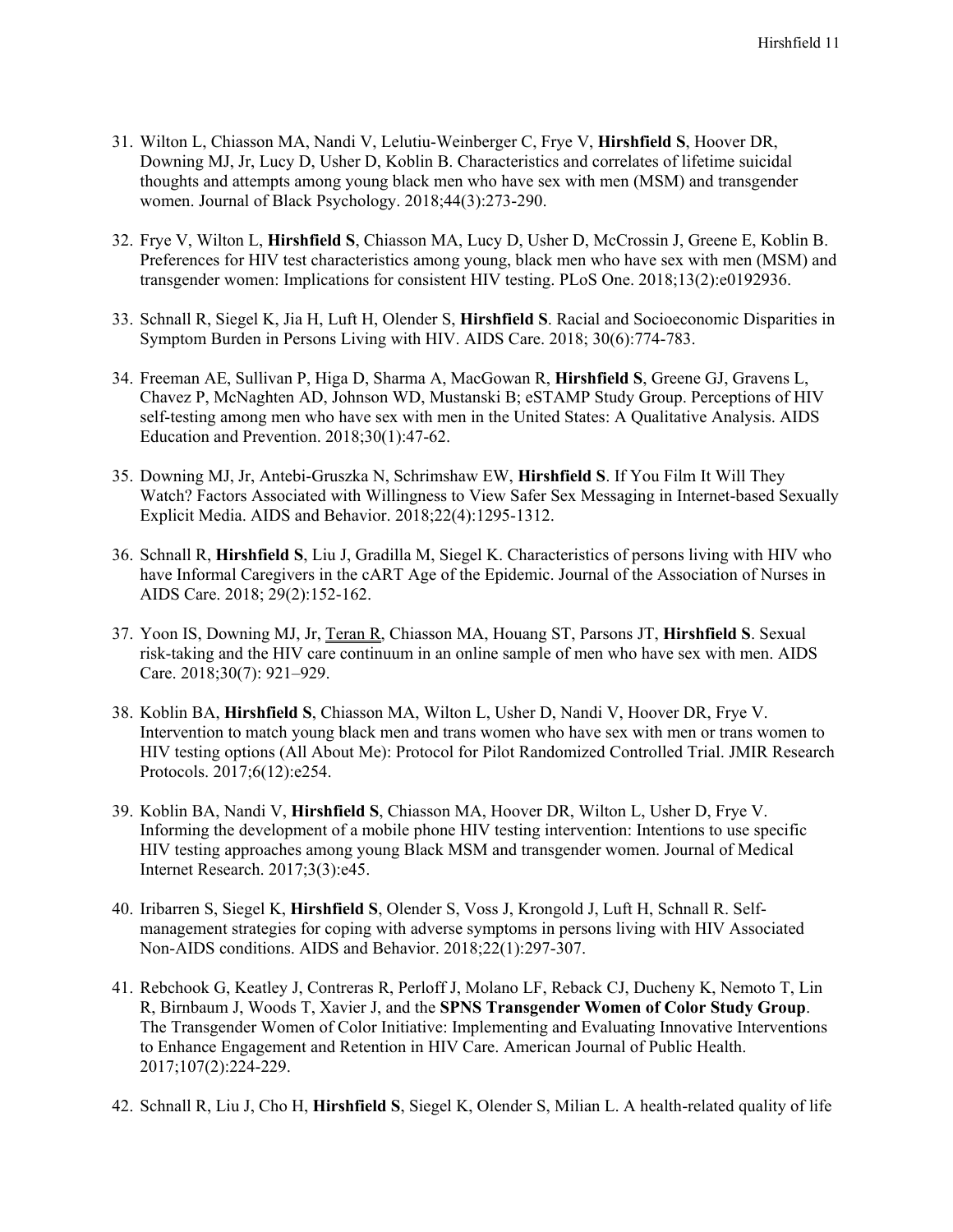- 31. Wilton L, Chiasson MA, Nandi V, Lelutiu-Weinberger C, Frye V, **Hirshfield S**, Hoover DR, Downing MJ, Jr, Lucy D, Usher D, Koblin B. Characteristics and correlates of lifetime suicidal thoughts and attempts among young black men who have sex with men (MSM) and transgender women. Journal of Black Psychology. 2018;44(3):273-290.
- 32. Frye V, Wilton L, **Hirshfield S**, Chiasson MA, Lucy D, Usher D, McCrossin J, Greene E, Koblin B. Preferences for HIV test characteristics among young, black men who have sex with men (MSM) and transgender women: Implications for consistent HIV testing. PLoS One. 2018;13(2):e0192936.
- 33. Schnall R, Siegel K, Jia H, Luft H, Olender S, **Hirshfield S**. Racial and Socioeconomic Disparities in Symptom Burden in Persons Living with HIV. AIDS Care. 2018; 30(6):774-783.
- 34. Freeman AE, Sullivan P, Higa D, Sharma A, MacGowan R, **Hirshfield S**, Greene GJ, Gravens L, Chavez P, McNaghten AD, Johnson WD, Mustanski B; eSTAMP Study Group. Perceptions of HIV self-testing among men who have sex with men in the United States: A Qualitative Analysis. AIDS Education and Prevention. 2018;30(1):47-62.
- 35. Downing MJ, Jr, Antebi-Gruszka N, Schrimshaw EW, **Hirshfield S**. If You Film It Will They Watch? Factors Associated with Willingness to View Safer Sex Messaging in Internet-based Sexually Explicit Media. AIDS and Behavior. 2018;22(4):1295-1312.
- 36. Schnall R, **Hirshfield S**, Liu J, Gradilla M, Siegel K. Characteristics of persons living with HIV who have Informal Caregivers in the cART Age of the Epidemic. Journal of the Association of Nurses in AIDS Care. 2018; 29(2):152-162.
- 37. Yoon IS, Downing MJ, Jr, Teran R, Chiasson MA, Houang ST, Parsons JT, **Hirshfield S**. Sexual risk-taking and the HIV care continuum in an online sample of men who have sex with men. AIDS Care. 2018;30(7): 921–929.
- 38. Koblin BA, **Hirshfield S**, Chiasson MA, Wilton L, Usher D, Nandi V, Hoover DR, Frye V. Intervention to match young black men and trans women who have sex with men or trans women to HIV testing options (All About Me): Protocol for Pilot Randomized Controlled Trial. JMIR Research Protocols. 2017;6(12):e254.
- 39. Koblin BA, Nandi V, **Hirshfield S**, Chiasson MA, Hoover DR, Wilton L, Usher D, Frye V. Informing the development of a mobile phone HIV testing intervention: Intentions to use specific HIV testing approaches among young Black MSM and transgender women. Journal of Medical Internet Research. 2017;3(3):e45.
- 40. Iribarren S, Siegel K, **Hirshfield S**, Olender S, Voss J, Krongold J, Luft H, Schnall R. Selfmanagement strategies for coping with adverse symptoms in persons living with HIV Associated Non-AIDS conditions. AIDS and Behavior. 2018;22(1):297-307.
- 41. Rebchook G, Keatley J, Contreras R, Perloff J, Molano LF, Reback CJ, Ducheny K, Nemoto T, Lin R, Birnbaum J, Woods T, Xavier J, and the **SPNS Transgender Women of Color Study Group**. The Transgender Women of Color Initiative: Implementing and Evaluating Innovative Interventions to Enhance Engagement and Retention in HIV Care. American Journal of Public Health. 2017;107(2):224-229.
- 42. Schnall R, Liu J, Cho H, **Hirshfield S**, Siegel K, Olender S, Milian L. A health-related quality of life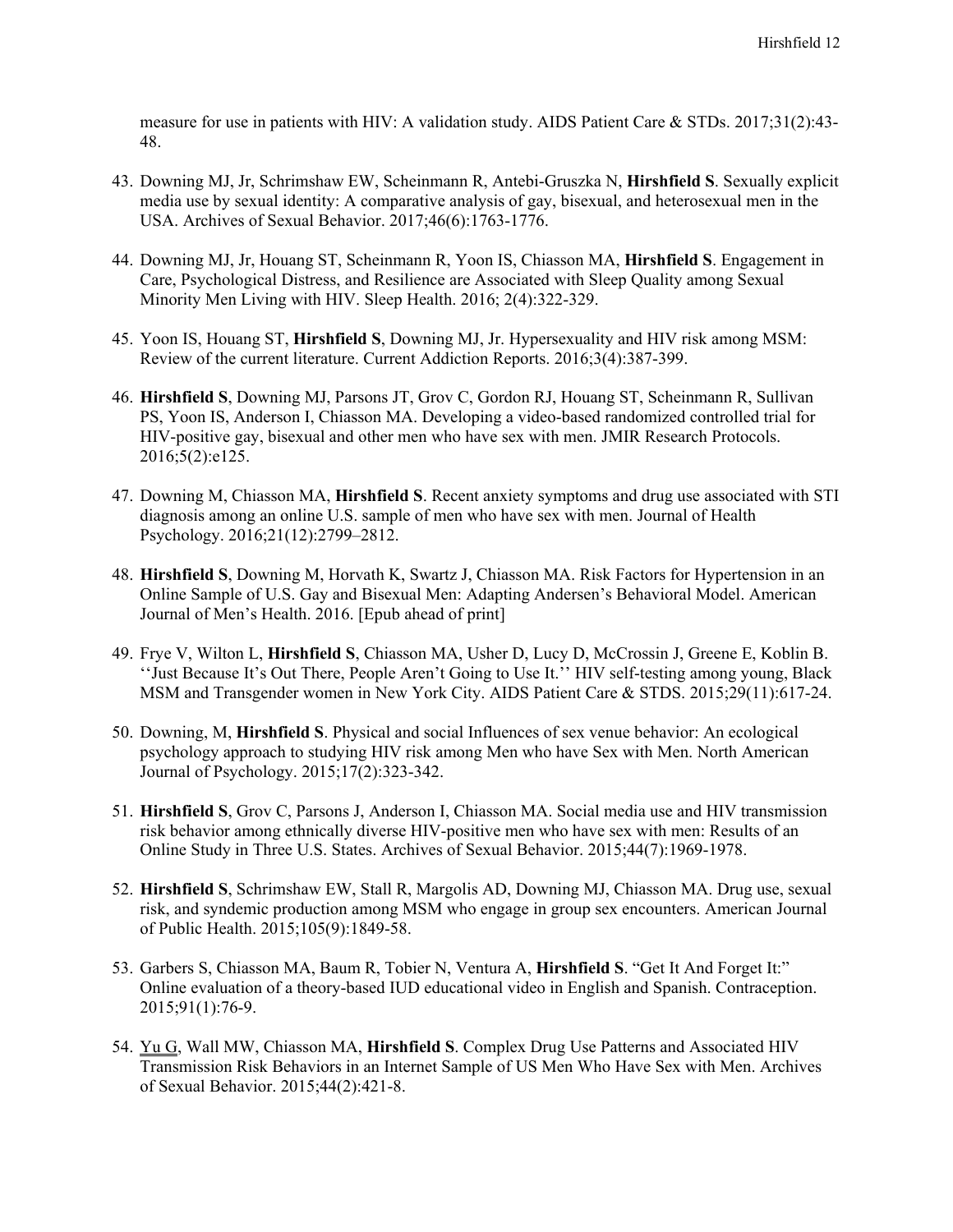measure for use in patients with HIV: A validation study. AIDS Patient Care & STDs. 2017;31(2):43- 48.

- 43. Downing MJ, Jr, Schrimshaw EW, Scheinmann R, Antebi-Gruszka N, **Hirshfield S**. Sexually explicit media use by sexual identity: A comparative analysis of gay, bisexual, and heterosexual men in the USA. Archives of Sexual Behavior. 2017;46(6):1763-1776.
- 44. Downing MJ, Jr, Houang ST, Scheinmann R, Yoon IS, Chiasson MA, **Hirshfield S**. Engagement in Care, Psychological Distress, and Resilience are Associated with Sleep Quality among Sexual Minority Men Living with HIV. Sleep Health. 2016; 2(4):322-329.
- 45. Yoon IS, Houang ST, **Hirshfield S**, Downing MJ, Jr. Hypersexuality and HIV risk among MSM: Review of the current literature. Current Addiction Reports. 2016;3(4):387-399.
- 46. **Hirshfield S**, Downing MJ, Parsons JT, Grov C, Gordon RJ, Houang ST, Scheinmann R, Sullivan PS, Yoon IS, Anderson I, Chiasson MA. Developing a video-based randomized controlled trial for HIV-positive gay, bisexual and other men who have sex with men. JMIR Research Protocols. 2016;5(2):e125.
- 47. Downing M, Chiasson MA, **Hirshfield S**. Recent anxiety symptoms and drug use associated with STI diagnosis among an online U.S. sample of men who have sex with men. Journal of Health Psychology. 2016;21(12):2799–2812.
- 48. **Hirshfield S**, Downing M, Horvath K, Swartz J, Chiasson MA. Risk Factors for Hypertension in an Online Sample of U.S. Gay and Bisexual Men: Adapting Andersen's Behavioral Model. American Journal of Men's Health. 2016. [Epub ahead of print]
- 49. Frye V, Wilton L, **Hirshfield S**, Chiasson MA, Usher D, Lucy D, McCrossin J, Greene E, Koblin B. ''Just Because It's Out There, People Aren't Going to Use It.'' HIV self-testing among young, Black MSM and Transgender women in New York City. AIDS Patient Care & STDS. 2015;29(11):617-24.
- 50. Downing, M, **Hirshfield S**. Physical and social Influences of sex venue behavior: An ecological psychology approach to studying HIV risk among Men who have Sex with Men. North American Journal of Psychology. 2015;17(2):323-342.
- 51. **Hirshfield S**, Grov C, Parsons J, Anderson I, Chiasson MA. Social media use and HIV transmission risk behavior among ethnically diverse HIV-positive men who have sex with men: Results of an Online Study in Three U.S. States. Archives of Sexual Behavior. 2015;44(7):1969-1978.
- 52. **Hirshfield S**, Schrimshaw EW, Stall R, Margolis AD, Downing MJ, Chiasson MA. Drug use, sexual risk, and syndemic production among MSM who engage in group sex encounters. American Journal of Public Health. 2015;105(9):1849-58.
- 53. Garbers S, Chiasson MA, Baum R, Tobier N, Ventura A, **Hirshfield S**. "Get It And Forget It:" Online evaluation of a theory-based IUD educational video in English and Spanish. Contraception. 2015;91(1):76-9.
- 54. Yu G, Wall MW, Chiasson MA, **Hirshfield S**. Complex Drug Use Patterns and Associated HIV Transmission Risk Behaviors in an Internet Sample of US Men Who Have Sex with Men. Archives of Sexual Behavior. 2015;44(2):421-8.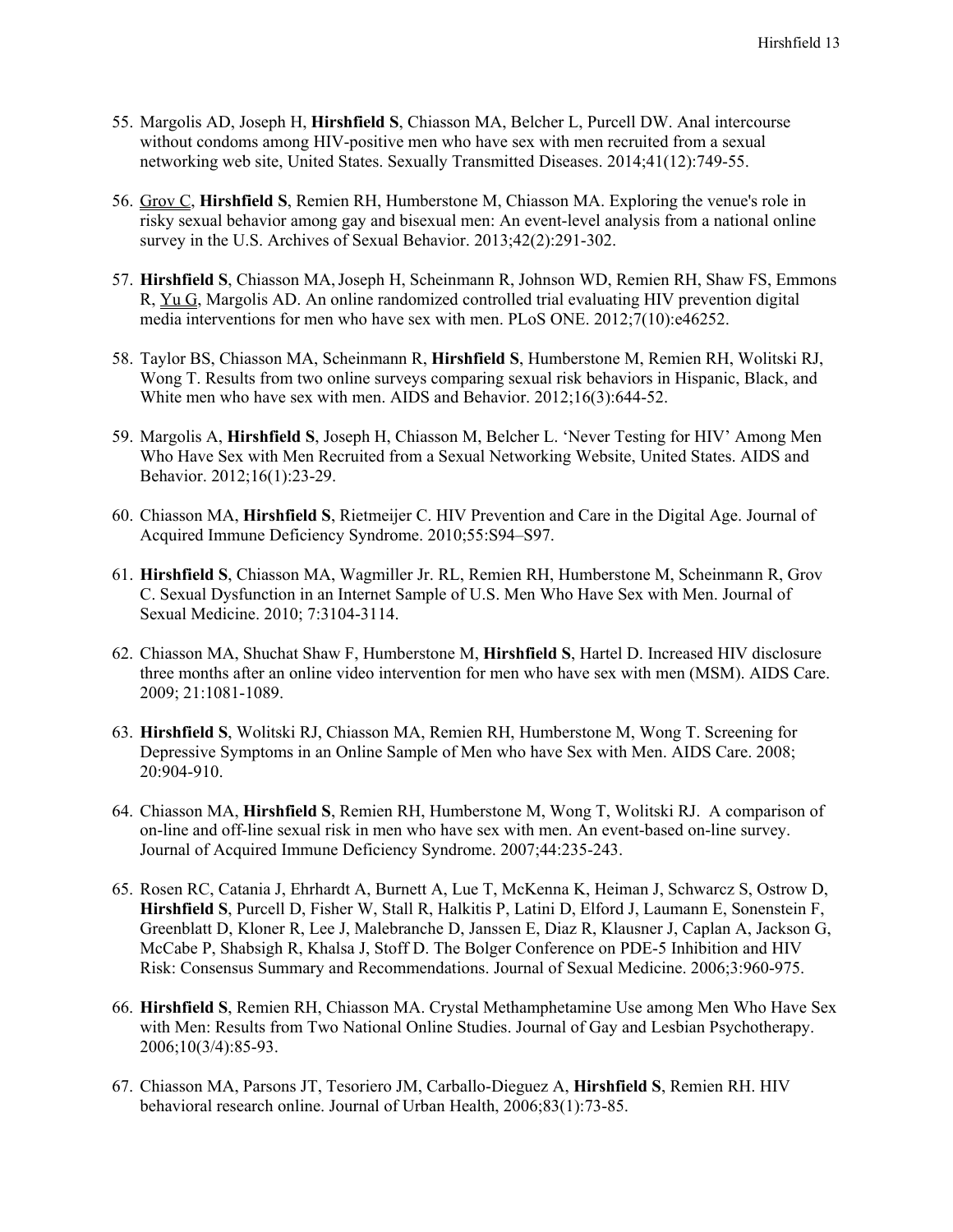- 55. Margolis AD, Joseph H, **Hirshfield S**, Chiasson MA, Belcher L, Purcell DW. Anal intercourse without condoms among HIV-positive men who have sex with men recruited from a sexual networking web site, United States. Sexually Transmitted Diseases. 2014;41(12):749-55.
- 56. Grov C, **Hirshfield S**, Remien RH, Humberstone M, Chiasson MA. Exploring the venue's role in risky sexual behavior among gay and bisexual men: An event-level analysis from a national online survey in the U.S. Archives of Sexual Behavior. 2013;42(2):291-302.
- 57. **Hirshfield S**, Chiasson MA,Joseph H, Scheinmann R, Johnson WD, Remien RH, Shaw FS, Emmons R, Yu G, Margolis AD. An online randomized controlled trial evaluating HIV prevention digital media interventions for men who have sex with men. PLoS ONE. 2012;7(10):e46252.
- 58. Taylor BS, Chiasson MA, Scheinmann R, **Hirshfield S**, Humberstone M, Remien RH, Wolitski RJ, Wong T. Results from two online surveys comparing sexual risk behaviors in Hispanic, Black, and White men who have sex with men. AIDS and Behavior. 2012;16(3):644-52.
- 59. Margolis A, **Hirshfield S**, Joseph H, Chiasson M, Belcher L. 'Never Testing for HIV' Among Men Who Have Sex with Men Recruited from a Sexual Networking Website, United States. AIDS and Behavior. 2012;16(1):23-29.
- 60. Chiasson MA, **Hirshfield S**, Rietmeijer C. HIV Prevention and Care in the Digital Age. Journal of Acquired Immune Deficiency Syndrome. 2010;55:S94–S97.
- 61. **Hirshfield S**, Chiasson MA, Wagmiller Jr. RL, Remien RH, Humberstone M, Scheinmann R, Grov C. Sexual Dysfunction in an Internet Sample of U.S. Men Who Have Sex with Men. Journal of Sexual Medicine. 2010; 7:3104-3114.
- 62. Chiasson MA, Shuchat Shaw F, Humberstone M, **Hirshfield S**, Hartel D. Increased HIV disclosure three months after an online video intervention for men who have sex with men (MSM). AIDS Care. 2009; 21:1081-1089.
- 63. **Hirshfield S**, Wolitski RJ, Chiasson MA, Remien RH, Humberstone M, Wong T. Screening for Depressive Symptoms in an Online Sample of Men who have Sex with Men. AIDS Care. 2008; 20:904-910.
- 64. Chiasson MA, **Hirshfield S**, Remien RH, Humberstone M, Wong T, Wolitski RJ. A comparison of on-line and off-line sexual risk in men who have sex with men. An event-based on-line survey. Journal of Acquired Immune Deficiency Syndrome. 2007;44:235-243.
- 65. Rosen RC, Catania J, Ehrhardt A, Burnett A, Lue T, McKenna K, Heiman J, Schwarcz S, Ostrow D, **Hirshfield S**, Purcell D, Fisher W, Stall R, Halkitis P, Latini D, Elford J, Laumann E, Sonenstein F, Greenblatt D, Kloner R, Lee J, Malebranche D, Janssen E, Diaz R, Klausner J, Caplan A, Jackson G, McCabe P, Shabsigh R, Khalsa J, Stoff D. The Bolger Conference on PDE-5 Inhibition and HIV Risk: Consensus Summary and Recommendations. Journal of Sexual Medicine. 2006;3:960-975.
- 66. **Hirshfield S**, Remien RH, Chiasson MA. Crystal Methamphetamine Use among Men Who Have Sex with Men: Results from Two National Online Studies. Journal of Gay and Lesbian Psychotherapy. 2006;10(3/4):85-93.
- 67. Chiasson MA, Parsons JT, Tesoriero JM, Carballo-Dieguez A, **Hirshfield S**, Remien RH. HIV behavioral research online. Journal of Urban Health, 2006;83(1):73-85.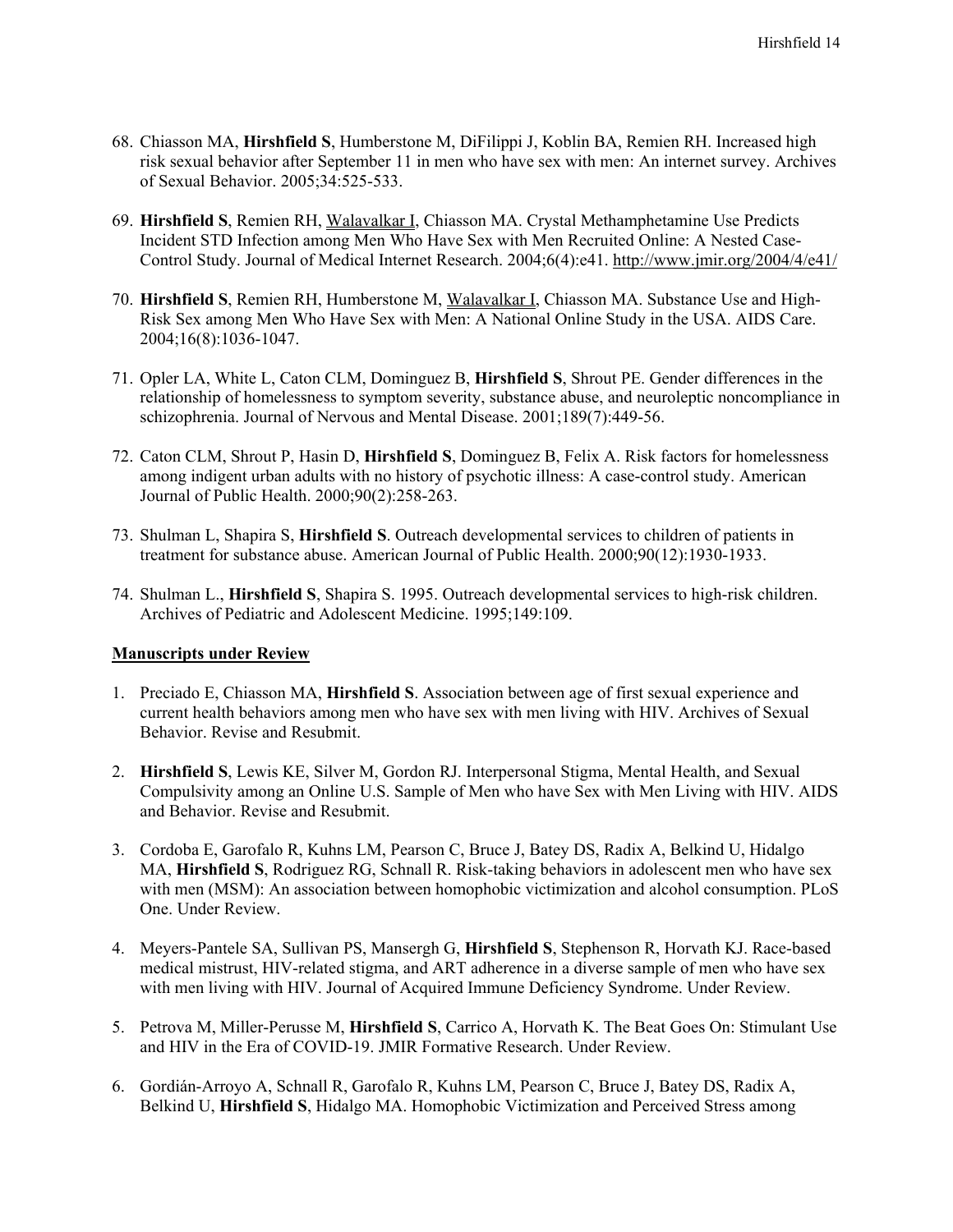- 68. Chiasson MA, **Hirshfield S**, Humberstone M, DiFilippi J, Koblin BA, Remien RH. Increased high risk sexual behavior after September 11 in men who have sex with men: An internet survey. Archives of Sexual Behavior. 2005;34:525-533.
- 69. **Hirshfield S**, Remien RH, Walavalkar I, Chiasson MA. Crystal Methamphetamine Use Predicts Incident STD Infection among Men Who Have Sex with Men Recruited Online: A Nested Case-Control Study. Journal of Medical Internet Research. 2004;6(4):e41.<http://www.jmir.org/2004/4/e41/>
- 70. **Hirshfield S**, Remien RH, Humberstone M, Walavalkar I, Chiasson MA. Substance Use and High-Risk Sex among Men Who Have Sex with Men: A National Online Study in the USA. AIDS Care. 2004;16(8):1036-1047.
- 71. Opler LA, White L, Caton CLM, Dominguez B, **Hirshfield S**, Shrout PE. Gender differences in the relationship of homelessness to symptom severity, substance abuse, and neuroleptic noncompliance in schizophrenia. Journal of Nervous and Mental Disease. 2001;189(7):449-56.
- 72. Caton CLM, Shrout P, Hasin D, **Hirshfield S**, Dominguez B, Felix A. Risk factors for homelessness among indigent urban adults with no history of psychotic illness: A case-control study. American Journal of Public Health. 2000;90(2):258-263.
- 73. Shulman L, Shapira S, **Hirshfield S**. Outreach developmental services to children of patients in treatment for substance abuse. American Journal of Public Health. 2000;90(12):1930-1933.
- 74. Shulman L., **Hirshfield S**, Shapira S. 1995. Outreach developmental services to high-risk children. Archives of Pediatric and Adolescent Medicine. 1995;149:109.

## **Manuscripts under Review**

- 1. Preciado E, Chiasson MA, **Hirshfield S**. Association between age of first sexual experience and current health behaviors among men who have sex with men living with HIV. Archives of Sexual Behavior. Revise and Resubmit.
- 2. **Hirshfield S**, Lewis KE, Silver M, Gordon RJ. Interpersonal Stigma, Mental Health, and Sexual Compulsivity among an Online U.S. Sample of Men who have Sex with Men Living with HIV. AIDS and Behavior. Revise and Resubmit.
- 3. Cordoba E, Garofalo R, Kuhns LM, Pearson C, Bruce J, Batey DS, Radix A, Belkind U, Hidalgo MA, **Hirshfield S**, Rodriguez RG, Schnall R. Risk-taking behaviors in adolescent men who have sex with men (MSM): An association between homophobic victimization and alcohol consumption. PLoS One. Under Review.
- 4. Meyers-Pantele SA, Sullivan PS, Mansergh G, **Hirshfield S**, Stephenson R, Horvath KJ. Race-based medical mistrust, HIV-related stigma, and ART adherence in a diverse sample of men who have sex with men living with HIV. Journal of Acquired Immune Deficiency Syndrome. Under Review.
- 5. Petrova M, Miller-Perusse M, **Hirshfield S**, Carrico A, Horvath K. The Beat Goes On: Stimulant Use and HIV in the Era of COVID-19. JMIR Formative Research. Under Review.
- 6. Gordián-Arroyo A, Schnall R, Garofalo R, Kuhns LM, Pearson C, Bruce J, Batey DS, Radix A, Belkind U, **Hirshfield S**, Hidalgo MA. Homophobic Victimization and Perceived Stress among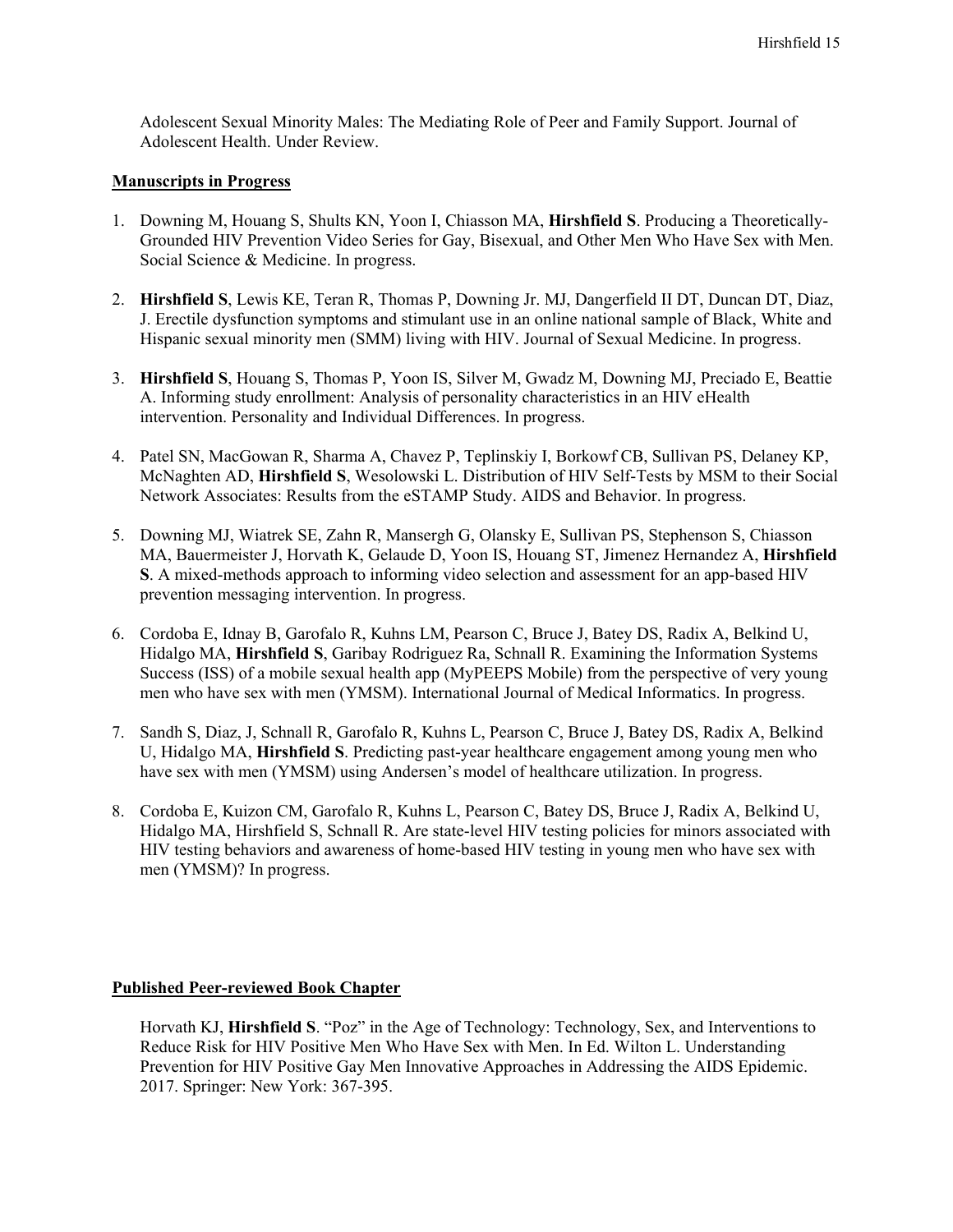Adolescent Sexual Minority Males: The Mediating Role of Peer and Family Support. Journal of Adolescent Health. Under Review.

## **Manuscripts in Progress**

- 1. Downing M, Houang S, Shults KN, Yoon I, Chiasson MA, **Hirshfield S**. Producing a Theoretically-Grounded HIV Prevention Video Series for Gay, Bisexual, and Other Men Who Have Sex with Men. Social Science & Medicine. In progress.
- 2. **Hirshfield S**, Lewis KE, Teran R, Thomas P, Downing Jr. MJ, Dangerfield II DT, Duncan DT, Diaz, J. Erectile dysfunction symptoms and stimulant use in an online national sample of Black, White and Hispanic sexual minority men (SMM) living with HIV. Journal of Sexual Medicine. In progress.
- 3. **Hirshfield S**, Houang S, Thomas P, Yoon IS, Silver M, Gwadz M, Downing MJ, Preciado E, Beattie A. Informing study enrollment: Analysis of personality characteristics in an HIV eHealth intervention. Personality and Individual Differences. In progress.
- 4. Patel SN, MacGowan R, Sharma A, Chavez P, Teplinskiy I, Borkowf CB, Sullivan PS, Delaney KP, McNaghten AD, **Hirshfield S**, Wesolowski L. Distribution of HIV Self-Tests by MSM to their Social Network Associates: Results from the eSTAMP Study. AIDS and Behavior. In progress.
- 5. Downing MJ, Wiatrek SE, Zahn R, Mansergh G, Olansky E, Sullivan PS, Stephenson S, Chiasson MA, Bauermeister J, Horvath K, Gelaude D, Yoon IS, Houang ST, Jimenez Hernandez A, **Hirshfield S**. A mixed-methods approach to informing video selection and assessment for an app-based HIV prevention messaging intervention. In progress.
- 6. Cordoba E, Idnay B, Garofalo R, Kuhns LM, Pearson C, Bruce J, Batey DS, Radix A, Belkind U, Hidalgo MA, **Hirshfield S**, Garibay Rodriguez Ra, Schnall R. Examining the Information Systems Success (ISS) of a mobile sexual health app (MyPEEPS Mobile) from the perspective of very young men who have sex with men (YMSM). International Journal of Medical Informatics. In progress.
- 7. Sandh S, Diaz, J, Schnall R, Garofalo R, Kuhns L, Pearson C, Bruce J, Batey DS, Radix A, Belkind U, Hidalgo MA, **Hirshfield S**. Predicting past-year healthcare engagement among young men who have sex with men (YMSM) using Andersen's model of healthcare utilization. In progress.
- 8. Cordoba E, Kuizon CM, Garofalo R, Kuhns L, Pearson C, Batey DS, Bruce J, Radix A, Belkind U, Hidalgo MA, Hirshfield S, Schnall R. Are state-level HIV testing policies for minors associated with HIV testing behaviors and awareness of home-based HIV testing in young men who have sex with men (YMSM)? In progress.

## **Published Peer-reviewed Book Chapter**

Horvath KJ, **Hirshfield S**. "Poz" in the Age of Technology: Technology, Sex, and Interventions to Reduce Risk for HIV Positive Men Who Have Sex with Men. In Ed. Wilton L. Understanding Prevention for HIV Positive Gay Men Innovative Approaches in Addressing the AIDS Epidemic. 2017. Springer: New York: 367-395.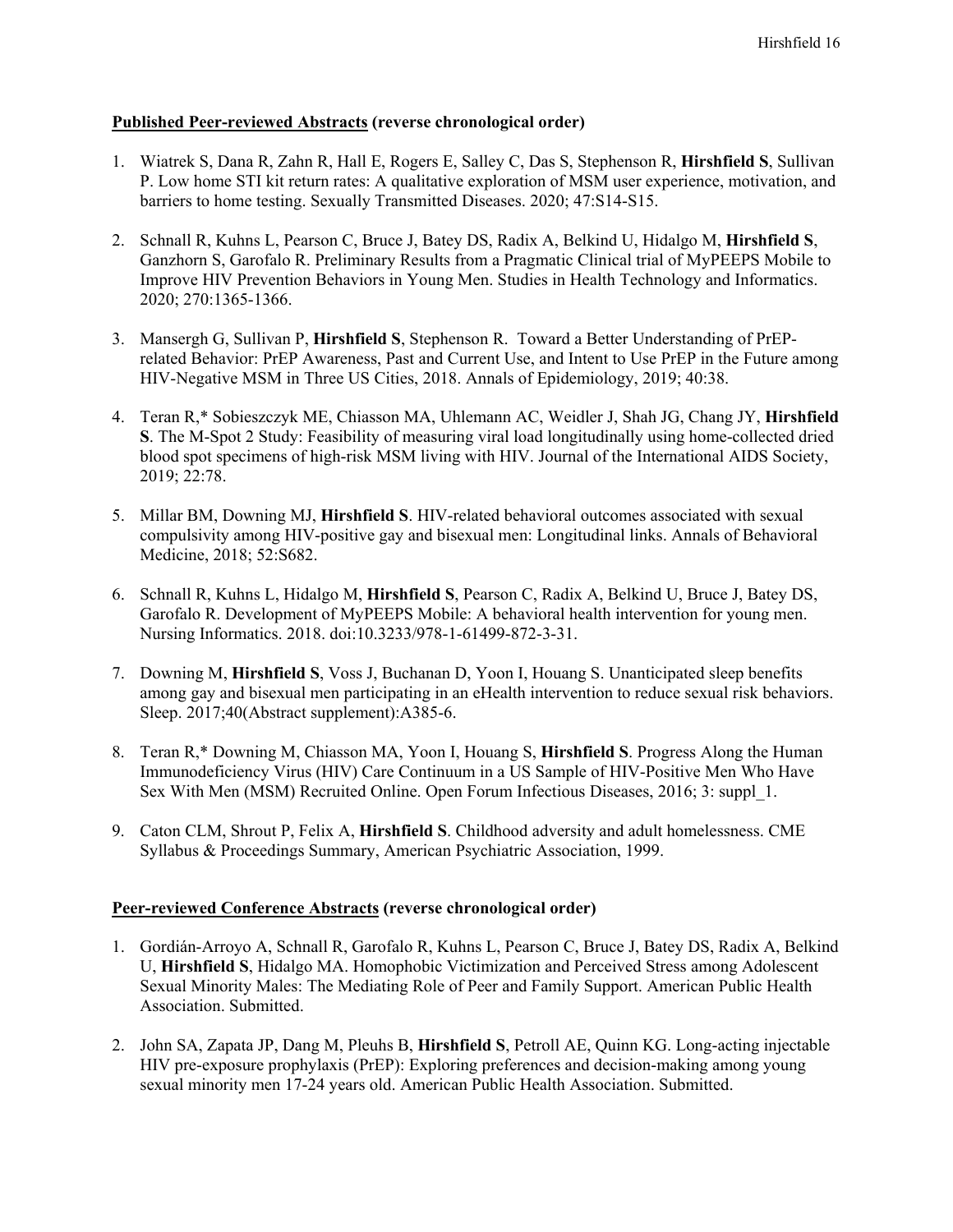## **Published Peer-reviewed Abstracts (reverse chronological order)**

- 1. Wiatrek S, Dana R, Zahn R, Hall E, Rogers E, Salley C, Das S, Stephenson R, **Hirshfield S**, Sullivan P. Low home STI kit return rates: A qualitative exploration of MSM user experience, motivation, and barriers to home testing. Sexually Transmitted Diseases. 2020; 47:S14-S15.
- 2. Schnall R, Kuhns L, Pearson C, Bruce J, Batey DS, Radix A, Belkind U, Hidalgo M, **Hirshfield S**, Ganzhorn S, Garofalo R. Preliminary Results from a Pragmatic Clinical trial of MyPEEPS Mobile to Improve HIV Prevention Behaviors in Young Men. Studies in Health Technology and Informatics. 2020; 270:1365-1366.
- 3. Mansergh G, Sullivan P, **Hirshfield S**, Stephenson R. Toward a Better Understanding of PrEPrelated Behavior: PrEP Awareness, Past and Current Use, and Intent to Use PrEP in the Future among HIV-Negative MSM in Three US Cities, 2018. Annals of Epidemiology, 2019; 40:38.
- 4. Teran R,\* Sobieszczyk ME, Chiasson MA, Uhlemann AC, Weidler J, Shah JG, Chang JY, **Hirshfield S**. The M-Spot 2 Study: Feasibility of measuring viral load longitudinally using home-collected dried blood spot specimens of high-risk MSM living with HIV. Journal of the International AIDS Society, 2019; 22:78.
- 5. Millar BM, Downing MJ, **Hirshfield S**. HIV-related behavioral outcomes associated with sexual compulsivity among HIV-positive gay and bisexual men: Longitudinal links. Annals of Behavioral Medicine, 2018; 52:S682.
- 6. Schnall R, Kuhns L, Hidalgo M, **Hirshfield S**, Pearson C, Radix A, Belkind U, Bruce J, Batey DS, Garofalo R. Development of MyPEEPS Mobile: A behavioral health intervention for young men. Nursing Informatics. 2018. doi:10.3233/978-1-61499-872-3-31.
- 7. Downing M, **Hirshfield S**, Voss J, Buchanan D, Yoon I, Houang S. Unanticipated sleep benefits among gay and bisexual men participating in an eHealth intervention to reduce sexual risk behaviors. Sleep. 2017;40(Abstract supplement):A385-6.
- 8. Teran R,\* Downing M, Chiasson MA, Yoon I, Houang S, **Hirshfield S**. Progress Along the Human Immunodeficiency Virus (HIV) Care Continuum in a US Sample of HIV-Positive Men Who Have Sex With Men (MSM) Recruited Online. Open Forum Infectious Diseases, 2016; 3: suppl\_1.
- 9. Caton CLM, Shrout P, Felix A, **Hirshfield S**. Childhood adversity and adult homelessness. CME Syllabus & Proceedings Summary, American Psychiatric Association, 1999.

## **Peer-reviewed Conference Abstracts (reverse chronological order)**

- 1. Gordián-Arroyo A, Schnall R, Garofalo R, Kuhns L, Pearson C, Bruce J, Batey DS, Radix A, Belkind U, **Hirshfield S**, Hidalgo MA. Homophobic Victimization and Perceived Stress among Adolescent Sexual Minority Males: The Mediating Role of Peer and Family Support. American Public Health Association. Submitted.
- 2. John SA, Zapata JP, Dang M, Pleuhs B, **Hirshfield S**, Petroll AE, Quinn KG. Long-acting injectable HIV pre-exposure prophylaxis (PrEP): Exploring preferences and decision-making among young sexual minority men 17-24 years old. American Public Health Association. Submitted.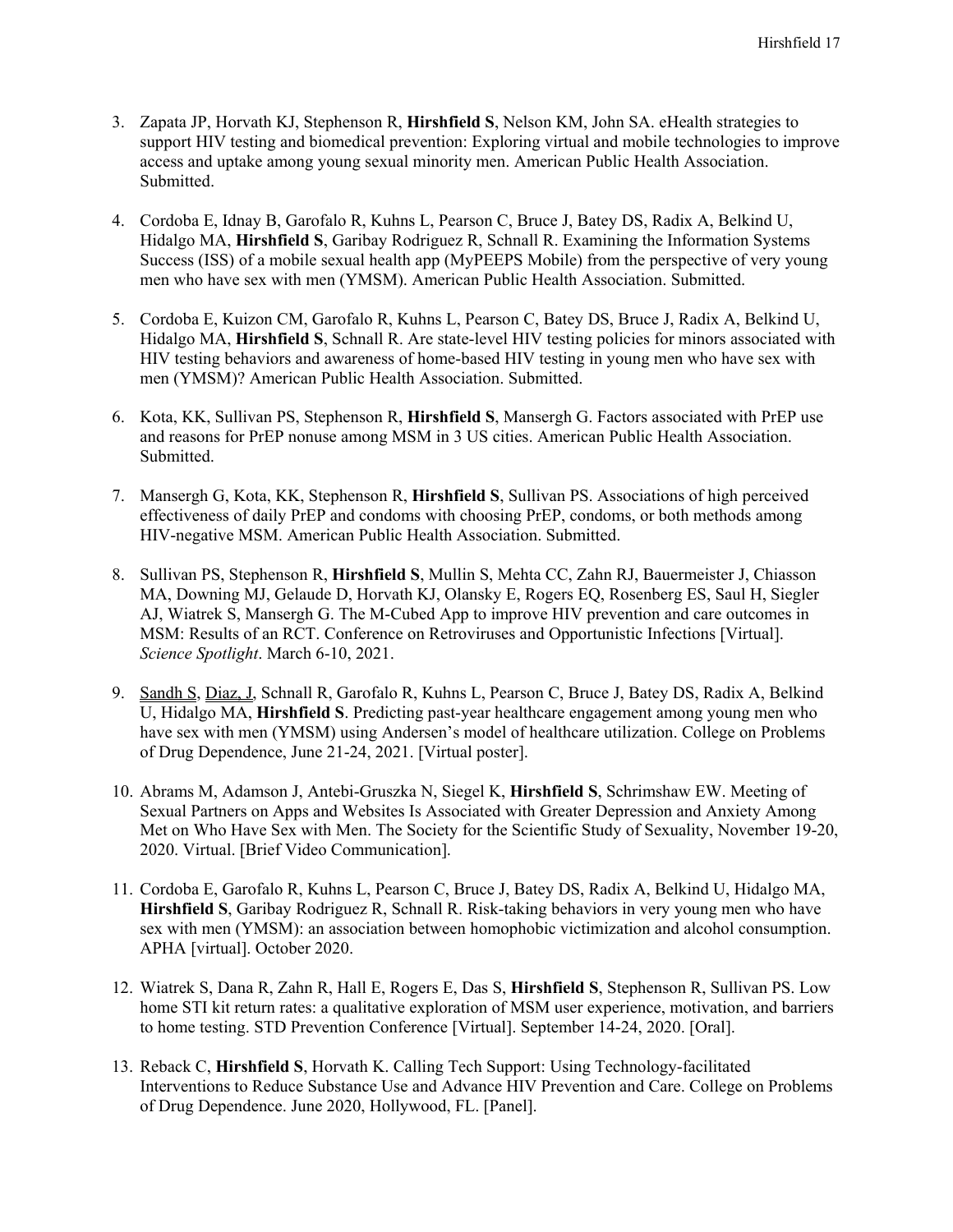- 3. Zapata JP, Horvath KJ, Stephenson R, **Hirshfield S**, Nelson KM, John SA. eHealth strategies to support HIV testing and biomedical prevention: Exploring virtual and mobile technologies to improve access and uptake among young sexual minority men. American Public Health Association. Submitted.
- 4. Cordoba E, Idnay B, Garofalo R, Kuhns L, Pearson C, Bruce J, Batey DS, Radix A, Belkind U, Hidalgo MA, **Hirshfield S**, Garibay Rodriguez R, Schnall R. Examining the Information Systems Success (ISS) of a mobile sexual health app (MyPEEPS Mobile) from the perspective of very young men who have sex with men (YMSM). American Public Health Association. Submitted.
- 5. Cordoba E, Kuizon CM, Garofalo R, Kuhns L, Pearson C, Batey DS, Bruce J, Radix A, Belkind U, Hidalgo MA, **Hirshfield S**, Schnall R. Are state-level HIV testing policies for minors associated with HIV testing behaviors and awareness of home-based HIV testing in young men who have sex with men (YMSM)? American Public Health Association. Submitted.
- 6. Kota, KK, Sullivan PS, Stephenson R, **Hirshfield S**, Mansergh G. Factors associated with PrEP use and reasons for PrEP nonuse among MSM in 3 US cities. American Public Health Association. Submitted.
- 7. Mansergh G, Kota, KK, Stephenson R, **Hirshfield S**, Sullivan PS. Associations of high perceived effectiveness of daily PrEP and condoms with choosing PrEP, condoms, or both methods among HIV-negative MSM. American Public Health Association. Submitted.
- 8. Sullivan PS, Stephenson R, **Hirshfield S**, Mullin S, Mehta CC, Zahn RJ, Bauermeister J, Chiasson MA, Downing MJ, Gelaude D, Horvath KJ, Olansky E, Rogers EQ, Rosenberg ES, Saul H, Siegler AJ, Wiatrek S, Mansergh G. The M-Cubed App to improve HIV prevention and care outcomes in MSM: Results of an RCT. Conference on Retroviruses and Opportunistic Infections [Virtual]. *Science Spotlight*. March 6-10, 2021.
- 9. Sandh S, Diaz, J, Schnall R, Garofalo R, Kuhns L, Pearson C, Bruce J, Batey DS, Radix A, Belkind U, Hidalgo MA, **Hirshfield S**. Predicting past-year healthcare engagement among young men who have sex with men (YMSM) using Andersen's model of healthcare utilization. College on Problems of Drug Dependence, June 21-24, 2021. [Virtual poster].
- 10. Abrams M, Adamson J, Antebi-Gruszka N, Siegel K, **Hirshfield S**, Schrimshaw EW. Meeting of Sexual Partners on Apps and Websites Is Associated with Greater Depression and Anxiety Among Met on Who Have Sex with Men. The Society for the Scientific Study of Sexuality, November 19-20, 2020. Virtual. [Brief Video Communication].
- 11. Cordoba E, Garofalo R, Kuhns L, Pearson C, Bruce J, Batey DS, Radix A, Belkind U, Hidalgo MA, **Hirshfield S**, Garibay Rodriguez R, Schnall R. Risk-taking behaviors in very young men who have sex with men (YMSM): an association between homophobic victimization and alcohol consumption. APHA [virtual]. October 2020.
- 12. Wiatrek S, Dana R, Zahn R, Hall E, Rogers E, Das S, **Hirshfield S**, Stephenson R, Sullivan PS. Low home STI kit return rates: a qualitative exploration of MSM user experience, motivation, and barriers to home testing. STD Prevention Conference [Virtual]. September 14-24, 2020. [Oral].
- 13. Reback C, **Hirshfield S**, Horvath K. Calling Tech Support: Using Technology-facilitated Interventions to Reduce Substance Use and Advance HIV Prevention and Care. College on Problems of Drug Dependence. June 2020, Hollywood, FL. [Panel].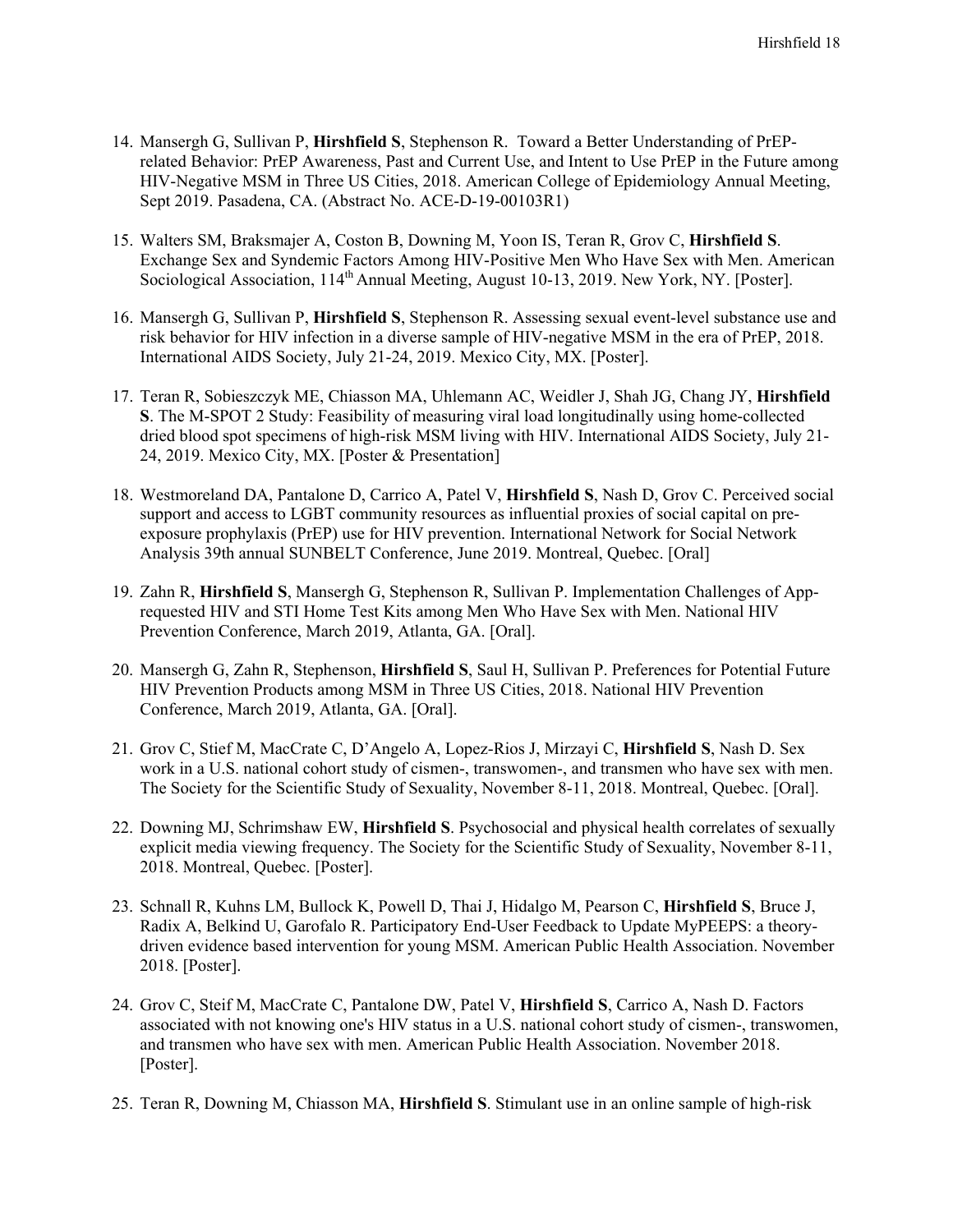- 14. Mansergh G, Sullivan P, **Hirshfield S**, Stephenson R. Toward a Better Understanding of PrEPrelated Behavior: PrEP Awareness, Past and Current Use, and Intent to Use PrEP in the Future among HIV-Negative MSM in Three US Cities, 2018. American College of Epidemiology Annual Meeting, Sept 2019. Pasadena, CA. (Abstract No. ACE-D-19-00103R1)
- 15. Walters SM, Braksmajer A, Coston B, Downing M, Yoon IS, Teran R, Grov C, **Hirshfield S**. Exchange Sex and Syndemic Factors Among HIV-Positive Men Who Have Sex with Men. American Sociological Association, 114<sup>th</sup> Annual Meeting, August 10-13, 2019. New York, NY. [Poster].
- 16. Mansergh G, Sullivan P, **Hirshfield S**, Stephenson R. Assessing sexual event-level substance use and risk behavior for HIV infection in a diverse sample of HIV-negative MSM in the era of PrEP, 2018. International AIDS Society, July 21-24, 2019. Mexico City, MX. [Poster].
- 17. Teran R, Sobieszczyk ME, Chiasson MA, Uhlemann AC, Weidler J, Shah JG, Chang JY, **Hirshfield S**. The M-SPOT 2 Study: Feasibility of measuring viral load longitudinally using home-collected dried blood spot specimens of high-risk MSM living with HIV. International AIDS Society, July 21- 24, 2019. Mexico City, MX. [Poster & Presentation]
- 18. Westmoreland DA, Pantalone D, Carrico A, Patel V, **Hirshfield S**, Nash D, Grov C. Perceived social support and access to LGBT community resources as influential proxies of social capital on preexposure prophylaxis (PrEP) use for HIV prevention. International Network for Social Network Analysis 39th annual SUNBELT Conference, June 2019. Montreal, Quebec. [Oral]
- 19. Zahn R, **Hirshfield S**, Mansergh G, Stephenson R, Sullivan P. Implementation Challenges of Apprequested HIV and STI Home Test Kits among Men Who Have Sex with Men. National HIV Prevention Conference, March 2019, Atlanta, GA. [Oral].
- 20. Mansergh G, Zahn R, Stephenson, **Hirshfield S**, Saul H, Sullivan P. Preferences for Potential Future HIV Prevention Products among MSM in Three US Cities, 2018. National HIV Prevention Conference, March 2019, Atlanta, GA. [Oral].
- 21. Grov C, Stief M, MacCrate C, D'Angelo A, Lopez-Rios J, Mirzayi C, **Hirshfield S**, Nash D. Sex work in a U.S. national cohort study of cismen-, transwomen-, and transmen who have sex with men. The Society for the Scientific Study of Sexuality, November 8-11, 2018. Montreal, Quebec. [Oral].
- 22. Downing MJ, Schrimshaw EW, **Hirshfield S**. Psychosocial and physical health correlates of sexually explicit media viewing frequency. The Society for the Scientific Study of Sexuality, November 8-11, 2018. Montreal, Quebec. [Poster].
- 23. Schnall R, Kuhns LM, Bullock K, Powell D, Thai J, Hidalgo M, Pearson C, **Hirshfield S**, Bruce J, Radix A, Belkind U, Garofalo R. Participatory End-User Feedback to Update MyPEEPS: a theorydriven evidence based intervention for young MSM. American Public Health Association. November 2018. [Poster].
- 24. Grov C, Steif M, MacCrate C, Pantalone DW, Patel V, **Hirshfield S**, Carrico A, Nash D. Factors associated with not knowing one's HIV status in a U.S. national cohort study of cismen-, transwomen, and transmen who have sex with men. American Public Health Association. November 2018. [Poster].
- 25. Teran R, Downing M, Chiasson MA, **Hirshfield S**. Stimulant use in an online sample of high-risk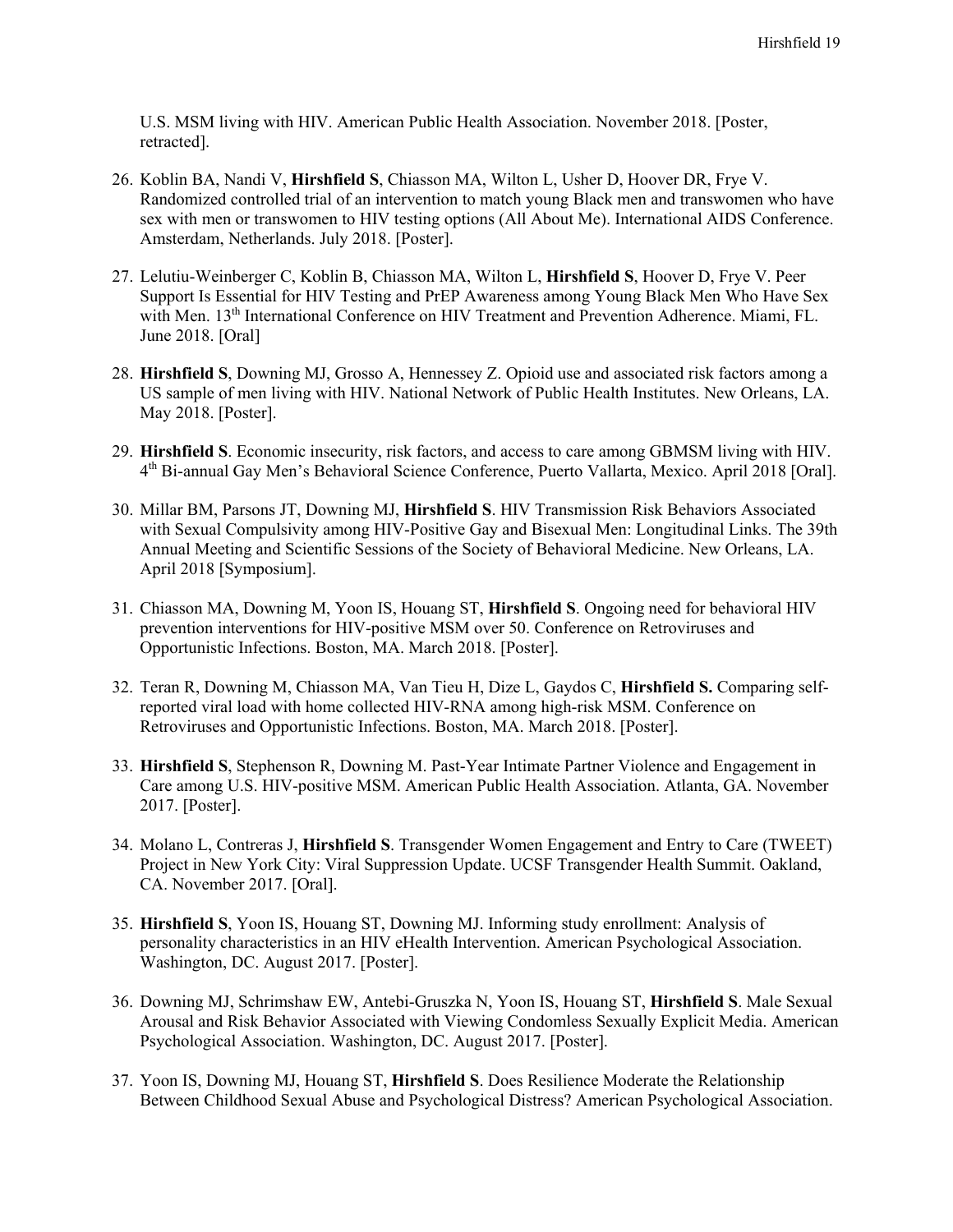U.S. MSM living with HIV. American Public Health Association. November 2018. [Poster, retracted].

- 26. Koblin BA, Nandi V, **Hirshfield S**, Chiasson MA, Wilton L, Usher D, Hoover DR, Frye V. Randomized controlled trial of an intervention to match young Black men and transwomen who have sex with men or transwomen to HIV testing options (All About Me). International AIDS Conference. Amsterdam, Netherlands. July 2018. [Poster].
- 27. Lelutiu-Weinberger C, Koblin B, Chiasson MA, Wilton L, **Hirshfield S**, Hoover D, Frye V. Peer Support Is Essential for HIV Testing and PrEP Awareness among Young Black Men Who Have Sex with Men. 13<sup>th</sup> International Conference on HIV Treatment and Prevention Adherence. Miami, FL. June 2018. [Oral]
- 28. **Hirshfield S**, Downing MJ, Grosso A, Hennessey Z. Opioid use and associated risk factors among a US sample of men living with HIV. National Network of Public Health Institutes. New Orleans, LA. May 2018. [Poster].
- 29. **Hirshfield S**. Economic insecurity, risk factors, and access to care among GBMSM living with HIV. 4th Bi-annual Gay Men's Behavioral Science Conference, Puerto Vallarta, Mexico. April 2018 [Oral].
- 30. Millar BM, Parsons JT, Downing MJ, **Hirshfield S**. HIV Transmission Risk Behaviors Associated with Sexual Compulsivity among HIV-Positive Gay and Bisexual Men: Longitudinal Links. The 39th Annual Meeting and Scientific Sessions of the Society of Behavioral Medicine. New Orleans, LA. April 2018 [Symposium].
- 31. Chiasson MA, Downing M, Yoon IS, Houang ST, **Hirshfield S**. Ongoing need for behavioral HIV prevention interventions for HIV-positive MSM over 50. Conference on Retroviruses and Opportunistic Infections. Boston, MA. March 2018. [Poster].
- 32. Teran R, Downing M, Chiasson MA, Van Tieu H, Dize L, Gaydos C, **Hirshfield S.** Comparing selfreported viral load with home collected HIV-RNA among high-risk MSM. Conference on Retroviruses and Opportunistic Infections. Boston, MA. March 2018. [Poster].
- 33. **Hirshfield S**, Stephenson R, Downing M. Past-Year Intimate Partner Violence and Engagement in Care among U.S. HIV-positive MSM. American Public Health Association. Atlanta, GA. November 2017. [Poster].
- 34. Molano L, Contreras J, **Hirshfield S**. Transgender Women Engagement and Entry to Care (TWEET) Project in New York City: Viral Suppression Update. UCSF Transgender Health Summit. Oakland, CA. November 2017. [Oral].
- 35. **Hirshfield S**, Yoon IS, Houang ST, Downing MJ. Informing study enrollment: Analysis of personality characteristics in an HIV eHealth Intervention. American Psychological Association. Washington, DC. August 2017. [Poster].
- 36. Downing MJ, Schrimshaw EW, Antebi-Gruszka N, Yoon IS, Houang ST, **Hirshfield S**. Male Sexual Arousal and Risk Behavior Associated with Viewing Condomless Sexually Explicit Media. American Psychological Association. Washington, DC. August 2017. [Poster].
- 37. Yoon IS, Downing MJ, Houang ST, **Hirshfield S**. Does Resilience Moderate the Relationship Between Childhood Sexual Abuse and Psychological Distress? American Psychological Association.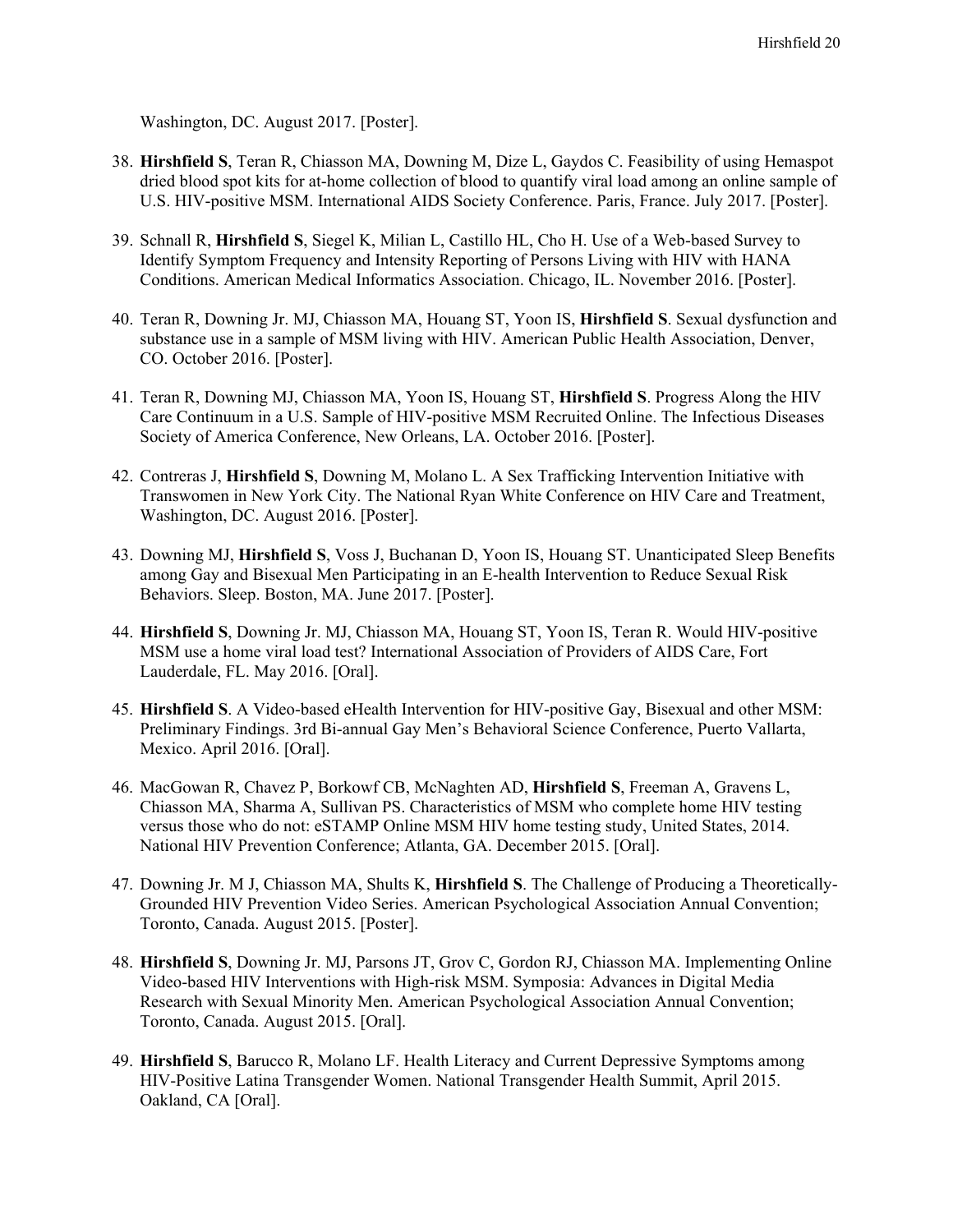Washington, DC. August 2017. [Poster].

- 38. **Hirshfield S**, Teran R, Chiasson MA, Downing M, Dize L, Gaydos C. Feasibility of using Hemaspot dried blood spot kits for at-home collection of blood to quantify viral load among an online sample of U.S. HIV-positive MSM. International AIDS Society Conference. Paris, France. July 2017. [Poster].
- 39. Schnall R, **Hirshfield S**, Siegel K, Milian L, Castillo HL, Cho H. Use of a Web-based Survey to Identify Symptom Frequency and Intensity Reporting of Persons Living with HIV with HANA Conditions. American Medical Informatics Association. Chicago, IL. November 2016. [Poster].
- 40. Teran R, Downing Jr. MJ, Chiasson MA, Houang ST, Yoon IS, **Hirshfield S**. Sexual dysfunction and substance use in a sample of MSM living with HIV. American Public Health Association, Denver, CO. October 2016. [Poster].
- 41. Teran R, Downing MJ, Chiasson MA, Yoon IS, Houang ST, **Hirshfield S**. Progress Along the HIV Care Continuum in a U.S. Sample of HIV-positive MSM Recruited Online. The Infectious Diseases Society of America Conference, New Orleans, LA. October 2016. [Poster].
- 42. Contreras J, **Hirshfield S**, Downing M, Molano L. A Sex Trafficking Intervention Initiative with Transwomen in New York City. The National Ryan White Conference on HIV Care and Treatment, Washington, DC. August 2016. [Poster].
- 43. Downing MJ, **Hirshfield S**, Voss J, Buchanan D, Yoon IS, Houang ST. Unanticipated Sleep Benefits among Gay and Bisexual Men Participating in an E-health Intervention to Reduce Sexual Risk Behaviors. Sleep. Boston, MA. June 2017. [Poster].
- 44. **Hirshfield S**, Downing Jr. MJ, Chiasson MA, Houang ST, Yoon IS, Teran R. Would HIV-positive MSM use a home viral load test? International Association of Providers of AIDS Care, Fort Lauderdale, FL. May 2016. [Oral].
- 45. **Hirshfield S**. A Video-based eHealth Intervention for HIV-positive Gay, Bisexual and other MSM: Preliminary Findings. 3rd Bi-annual Gay Men's Behavioral Science Conference, Puerto Vallarta, Mexico. April 2016. [Oral].
- 46. MacGowan R, Chavez P, Borkowf CB, McNaghten AD, **Hirshfield S**, Freeman A, Gravens L, Chiasson MA, Sharma A, Sullivan PS. Characteristics of MSM who complete home HIV testing versus those who do not: eSTAMP Online MSM HIV home testing study, United States, 2014. National HIV Prevention Conference; Atlanta, GA. December 2015. [Oral].
- 47. Downing Jr. M J, Chiasson MA, Shults K, **Hirshfield S**. The Challenge of Producing a Theoretically-Grounded HIV Prevention Video Series. American Psychological Association Annual Convention; Toronto, Canada. August 2015. [Poster].
- 48. **Hirshfield S**, Downing Jr. MJ, Parsons JT, Grov C, Gordon RJ, Chiasson MA. Implementing Online Video-based HIV Interventions with High-risk MSM. Symposia: Advances in Digital Media Research with Sexual Minority Men. American Psychological Association Annual Convention; Toronto, Canada. August 2015. [Oral].
- 49. **Hirshfield S**, Barucco R, Molano LF. Health Literacy and Current Depressive Symptoms among HIV-Positive Latina Transgender Women. National Transgender Health Summit, April 2015. Oakland, CA [Oral].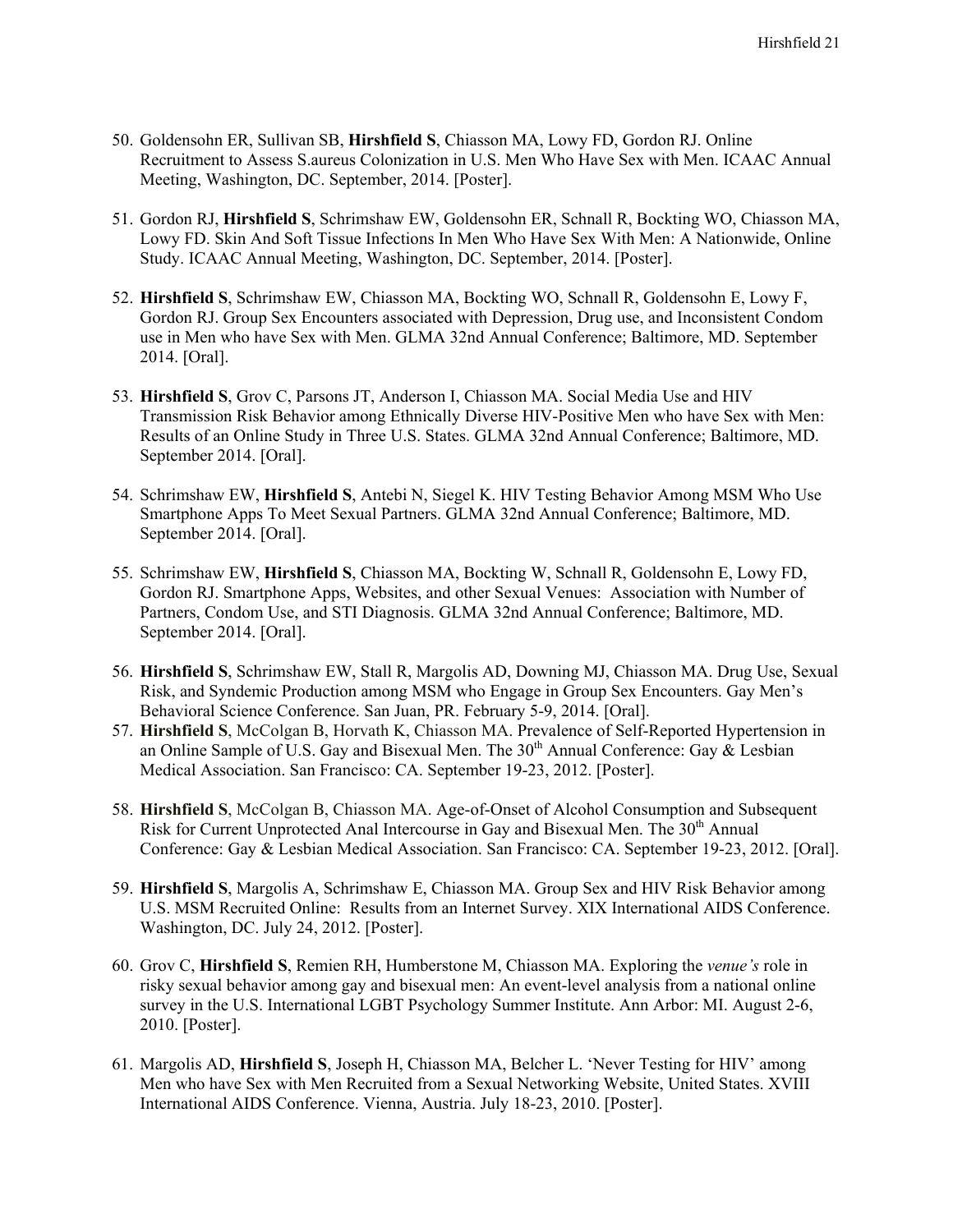- 50. Goldensohn ER, Sullivan SB, **Hirshfield S**, Chiasson MA, Lowy FD, Gordon RJ. Online Recruitment to Assess S.aureus Colonization in U.S. Men Who Have Sex with Men. ICAAC Annual Meeting, Washington, DC. September, 2014. [Poster].
- 51. Gordon RJ, **Hirshfield S**, Schrimshaw EW, Goldensohn ER, Schnall R, Bockting WO, Chiasson MA, Lowy FD. Skin And Soft Tissue Infections In Men Who Have Sex With Men: A Nationwide, Online Study. ICAAC Annual Meeting, Washington, DC. September, 2014. [Poster].
- 52. **Hirshfield S**, Schrimshaw EW, Chiasson MA, Bockting WO, Schnall R, Goldensohn E, Lowy F, Gordon RJ. Group Sex Encounters associated with Depression, Drug use, and Inconsistent Condom use in Men who have Sex with Men. GLMA 32nd Annual Conference; Baltimore, MD. September 2014. [Oral].
- 53. **Hirshfield S**, Grov C, Parsons JT, Anderson I, Chiasson MA. Social Media Use and HIV Transmission Risk Behavior among Ethnically Diverse HIV-Positive Men who have Sex with Men: Results of an Online Study in Three U.S. States. GLMA 32nd Annual Conference; Baltimore, MD. September 2014. [Oral].
- 54. Schrimshaw EW, **Hirshfield S**, Antebi N, Siegel K. HIV Testing Behavior Among MSM Who Use Smartphone Apps To Meet Sexual Partners. GLMA 32nd Annual Conference; Baltimore, MD. September 2014. [Oral].
- 55. Schrimshaw EW, **Hirshfield S**, Chiasson MA, Bockting W, Schnall R, Goldensohn E, Lowy FD, Gordon RJ. Smartphone Apps, Websites, and other Sexual Venues: Association with Number of Partners, Condom Use, and STI Diagnosis. GLMA 32nd Annual Conference; Baltimore, MD. September 2014. [Oral].
- 56. **Hirshfield S**, Schrimshaw EW, Stall R, Margolis AD, Downing MJ, Chiasson MA. Drug Use, Sexual Risk, and Syndemic Production among MSM who Engage in Group Sex Encounters. Gay Men's Behavioral Science Conference. San Juan, PR. February 5-9, 2014. [Oral].
- 57. **Hirshfield S**, McColgan B, Horvath K, Chiasson MA. Prevalence of Self-Reported Hypertension in an Online Sample of U.S. Gay and Bisexual Men. The  $30<sup>th</sup>$  Annual Conference: Gay & Lesbian Medical Association. San Francisco: CA. September 19-23, 2012. [Poster].
- 58. **Hirshfield S**, McColgan B, Chiasson MA. Age-of-Onset of Alcohol Consumption and Subsequent Risk for Current Unprotected Anal Intercourse in Gay and Bisexual Men. The 30<sup>th</sup> Annual Conference: Gay & Lesbian Medical Association. San Francisco: CA. September 19-23, 2012. [Oral].
- 59. **Hirshfield S**, Margolis A, Schrimshaw E, Chiasson MA. Group Sex and HIV Risk Behavior among U.S. MSM Recruited Online: Results from an Internet Survey. XIX International AIDS Conference. Washington, DC. July 24, 2012. [Poster].
- 60. Grov C, **Hirshfield S**, Remien RH, Humberstone M, Chiasson MA. Exploring the *venue's* role in risky sexual behavior among gay and bisexual men: An event-level analysis from a national online survey in the U.S. International LGBT Psychology Summer Institute. Ann Arbor: MI. August 2-6, 2010. [Poster].
- 61. Margolis AD, **Hirshfield S**, Joseph H, Chiasson MA, Belcher L. 'Never Testing for HIV' among Men who have Sex with Men Recruited from a Sexual Networking Website, United States. XVIII International AIDS Conference. Vienna, Austria. July 18-23, 2010. [Poster].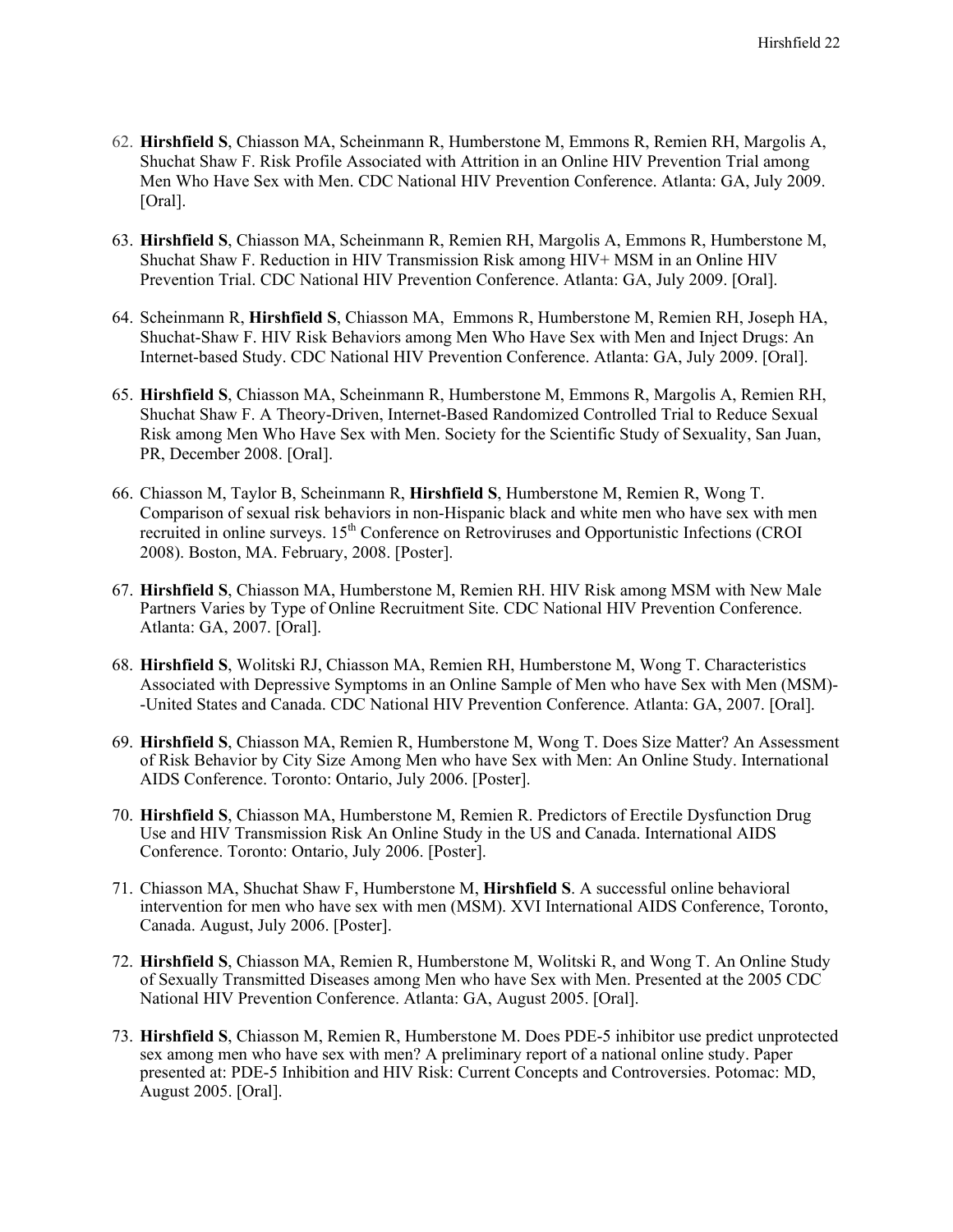- 62. **Hirshfield S**, Chiasson MA, Scheinmann R, Humberstone M, Emmons R, Remien RH, Margolis A, Shuchat Shaw F. Risk Profile Associated with Attrition in an Online HIV Prevention Trial among Men Who Have Sex with Men. CDC National HIV Prevention Conference. Atlanta: GA, July 2009. [Oral].
- 63. **Hirshfield S**, Chiasson MA, Scheinmann R, Remien RH, Margolis A, Emmons R, Humberstone M, Shuchat Shaw F. Reduction in HIV Transmission Risk among HIV+ MSM in an Online HIV Prevention Trial. CDC National HIV Prevention Conference. Atlanta: GA, July 2009. [Oral].
- 64. Scheinmann R, **Hirshfield S**, Chiasson MA, Emmons R, Humberstone M, Remien RH, Joseph HA, Shuchat-Shaw F. HIV Risk Behaviors among Men Who Have Sex with Men and Inject Drugs: An Internet-based Study. CDC National HIV Prevention Conference. Atlanta: GA, July 2009. [Oral].
- 65. **Hirshfield S**, Chiasson MA, Scheinmann R, Humberstone M, Emmons R, Margolis A, Remien RH, Shuchat Shaw F. A Theory-Driven, Internet-Based Randomized Controlled Trial to Reduce Sexual Risk among Men Who Have Sex with Men. Society for the Scientific Study of Sexuality, San Juan, PR, December 2008. [Oral].
- 66. Chiasson M, Taylor B, Scheinmann R, **Hirshfield S**, Humberstone M, Remien R, Wong T. Comparison of sexual risk behaviors in non-Hispanic black and white men who have sex with men recruited in online surveys.  $15<sup>th</sup>$  Conference on Retroviruses and Opportunistic Infections (CROI 2008). Boston, MA. February, 2008. [Poster].
- 67. **Hirshfield S**, Chiasson MA, Humberstone M, Remien RH. HIV Risk among MSM with New Male Partners Varies by Type of Online Recruitment Site. CDC National HIV Prevention Conference. Atlanta: GA, 2007. [Oral].
- 68. **Hirshfield S**, Wolitski RJ, Chiasson MA, Remien RH, Humberstone M, Wong T. Characteristics Associated with Depressive Symptoms in an Online Sample of Men who have Sex with Men (MSM)- -United States and Canada. CDC National HIV Prevention Conference. Atlanta: GA, 2007. [Oral].
- 69. **Hirshfield S**, Chiasson MA, Remien R, Humberstone M, Wong T. Does Size Matter? An Assessment of Risk Behavior by City Size Among Men who have Sex with Men: An Online Study. International AIDS Conference. Toronto: Ontario, July 2006. [Poster].
- 70. **Hirshfield S**, Chiasson MA, Humberstone M, Remien R. Predictors of Erectile Dysfunction Drug Use and HIV Transmission Risk An Online Study in the US and Canada. International AIDS Conference. Toronto: Ontario, July 2006. [Poster].
- 71. Chiasson MA, Shuchat Shaw F, Humberstone M, **Hirshfield S**. A successful online behavioral intervention for men who have sex with men (MSM). XVI International AIDS Conference, Toronto, Canada. August, July 2006. [Poster].
- 72. **Hirshfield S**, Chiasson MA, Remien R, Humberstone M, Wolitski R, and Wong T. An Online Study of Sexually Transmitted Diseases among Men who have Sex with Men. Presented at the 2005 CDC National HIV Prevention Conference. Atlanta: GA, August 2005. [Oral].
- 73. **Hirshfield S**, Chiasson M, Remien R, Humberstone M. Does PDE-5 inhibitor use predict unprotected sex among men who have sex with men? A preliminary report of a national online study. Paper presented at: PDE-5 Inhibition and HIV Risk: Current Concepts and Controversies. Potomac: MD, August 2005. [Oral].